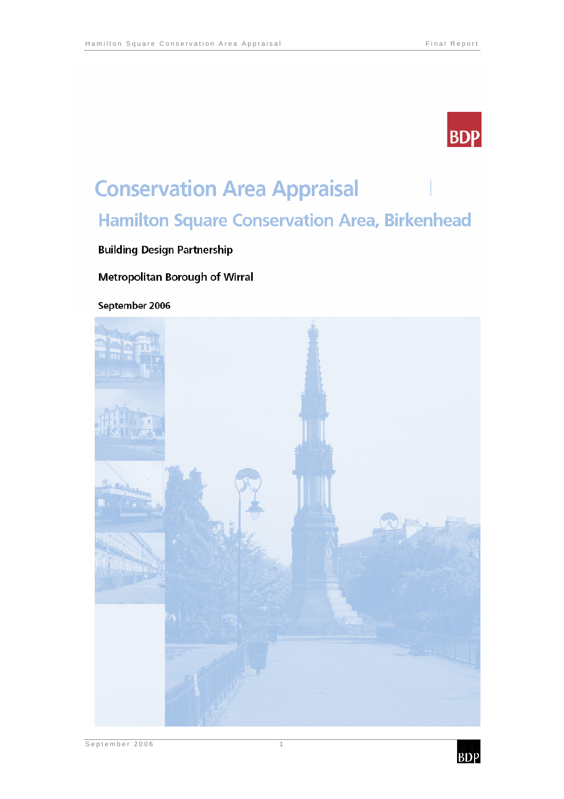

# **Conservation Area Appraisal Hamilton Square Conservation Area, Birkenhead**

## **Building Design Partnership**

### Metropolitan Borough of Wirral

September 2006



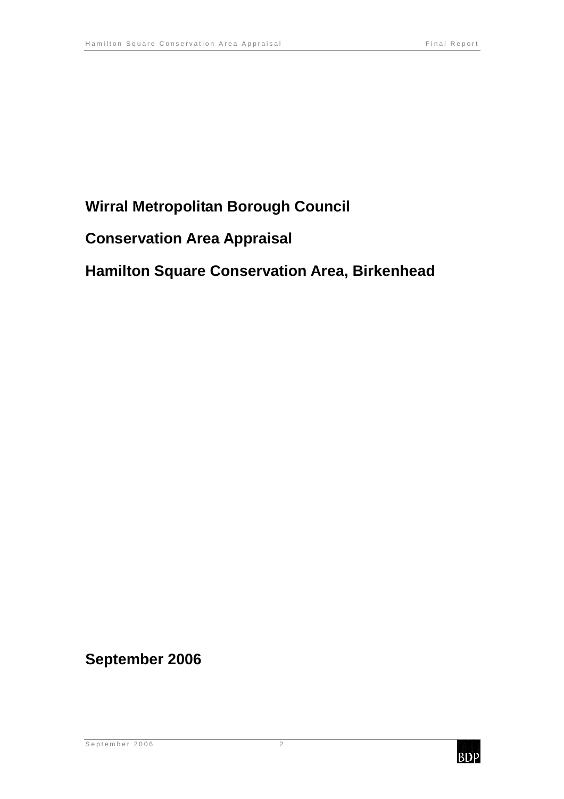# **Wirral Metropolitan Borough Council**

# **Conservation Area Appraisal**

# **Hamilton Square Conservation Area, Birkenhead**

# **September 2006**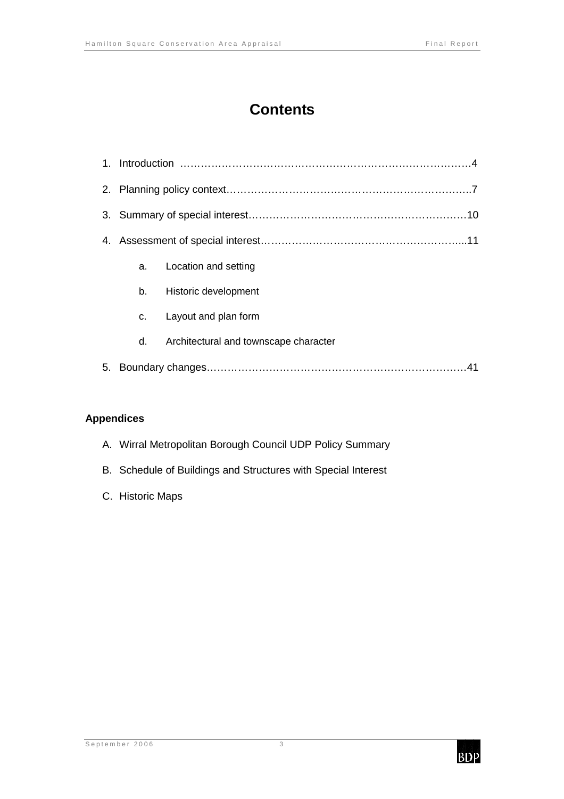# **Contents**

|    | a. | Location and setting                  |  |  |
|----|----|---------------------------------------|--|--|
|    | b. | Historic development                  |  |  |
|    | C. | Layout and plan form                  |  |  |
|    | d. | Architectural and townscape character |  |  |
| 5. |    |                                       |  |  |

### **Appendices**

- A. Wirral Metropolitan Borough Council UDP Policy Summary
- B. Schedule of Buildings and Structures with Special Interest
- C. Historic Maps

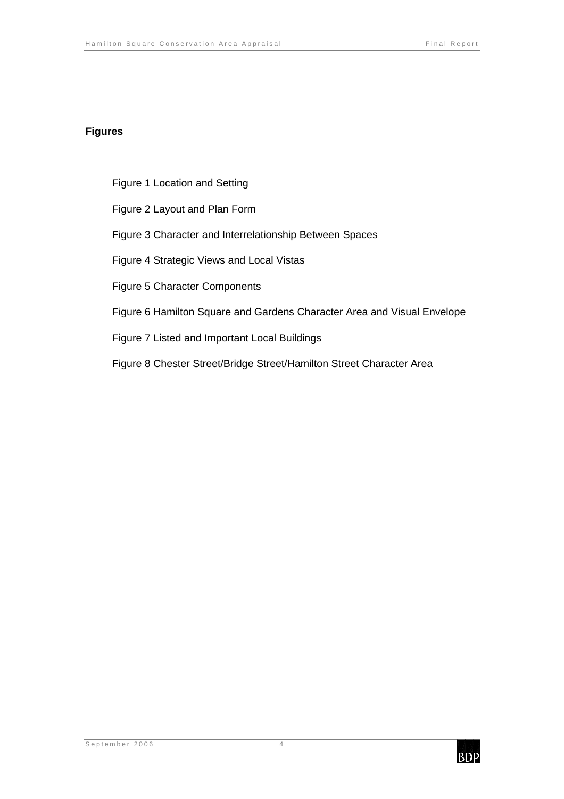### **Figures**

Figure 1 Location and Setting

Figure 2 Layout and Plan Form

Figure 3 Character and Interrelationship Between Spaces

Figure 4 Strategic Views and Local Vistas

Figure 5 Character Components

Figure 6 Hamilton Square and Gardens Character Area and Visual Envelope

Figure 7 Listed and Important Local Buildings

Figure 8 Chester Street/Bridge Street/Hamilton Street Character Area

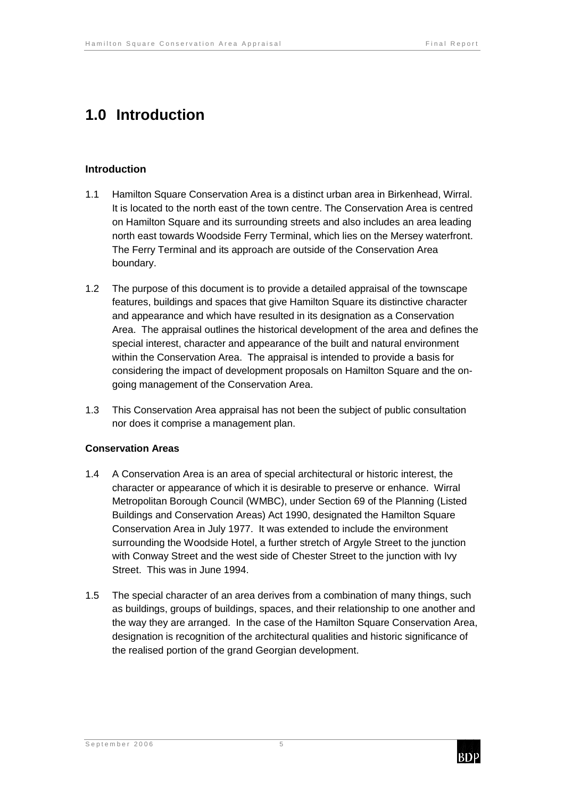# **1.0 Introduction**

### **Introduction**

- 1.1 Hamilton Square Conservation Area is a distinct urban area in Birkenhead, Wirral. It is located to the north east of the town centre. The Conservation Area is centred on Hamilton Square and its surrounding streets and also includes an area leading north east towards Woodside Ferry Terminal, which lies on the Mersey waterfront. The Ferry Terminal and its approach are outside of the Conservation Area boundary.
- 1.2 The purpose of this document is to provide a detailed appraisal of the townscape features, buildings and spaces that give Hamilton Square its distinctive character and appearance and which have resulted in its designation as a Conservation Area. The appraisal outlines the historical development of the area and defines the special interest, character and appearance of the built and natural environment within the Conservation Area. The appraisal is intended to provide a basis for considering the impact of development proposals on Hamilton Square and the ongoing management of the Conservation Area.
- 1.3 This Conservation Area appraisal has not been the subject of public consultation nor does it comprise a management plan.

### **Conservation Areas**

- 1.4 A Conservation Area is an area of special architectural or historic interest, the character or appearance of which it is desirable to preserve or enhance. Wirral Metropolitan Borough Council (WMBC), under Section 69 of the Planning (Listed Buildings and Conservation Areas) Act 1990, designated the Hamilton Square Conservation Area in July 1977. It was extended to include the environment surrounding the Woodside Hotel, a further stretch of Argyle Street to the junction with Conway Street and the west side of Chester Street to the junction with Ivy Street. This was in June 1994.
- 1.5 The special character of an area derives from a combination of many things, such as buildings, groups of buildings, spaces, and their relationship to one another and the way they are arranged. In the case of the Hamilton Square Conservation Area, designation is recognition of the architectural qualities and historic significance of the realised portion of the grand Georgian development.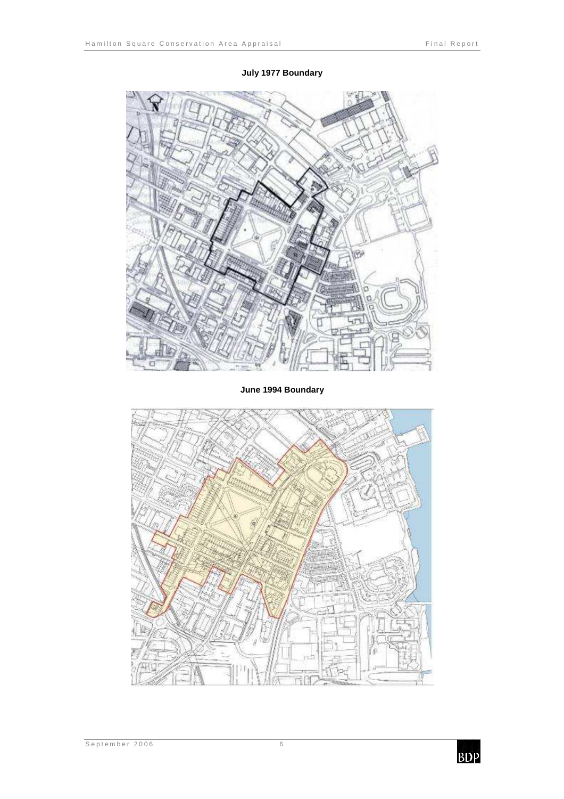

### **July 1977 Boundary**

**June 1994 Boundary** 

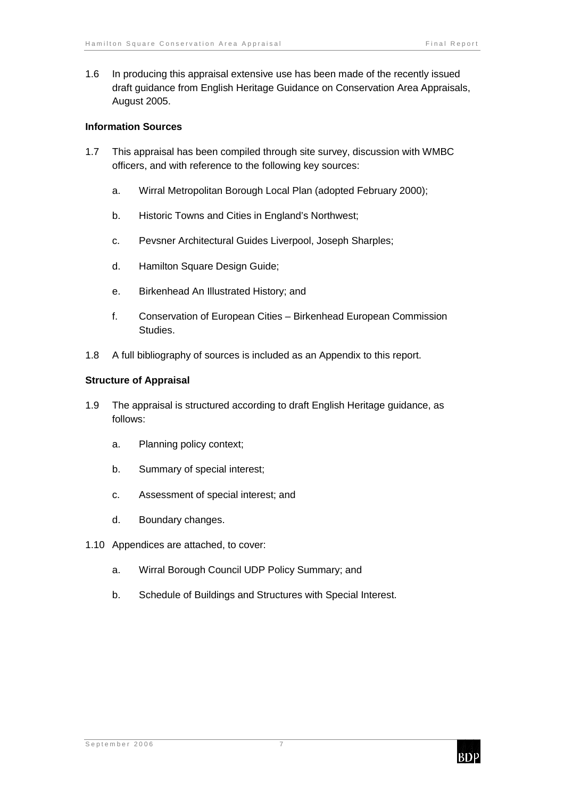1.6 In producing this appraisal extensive use has been made of the recently issued draft guidance from English Heritage Guidance on Conservation Area Appraisals, August 2005.

#### **Information Sources**

- 1.7 This appraisal has been compiled through site survey, discussion with WMBC officers, and with reference to the following key sources:
	- a. Wirral Metropolitan Borough Local Plan (adopted February 2000);
	- b. Historic Towns and Cities in England's Northwest;
	- c. Pevsner Architectural Guides Liverpool, Joseph Sharples;
	- d. Hamilton Square Design Guide;
	- e. Birkenhead An Illustrated History; and
	- f. Conservation of European Cities Birkenhead European Commission Studies.
- 1.8 A full bibliography of sources is included as an Appendix to this report.

#### **Structure of Appraisal**

- 1.9 The appraisal is structured according to draft English Heritage guidance, as follows:
	- a. Planning policy context;
	- b. Summary of special interest;
	- c. Assessment of special interest; and
	- d. Boundary changes.
- 1.10 Appendices are attached, to cover:
	- a. Wirral Borough Council UDP Policy Summary; and
	- b. Schedule of Buildings and Structures with Special Interest.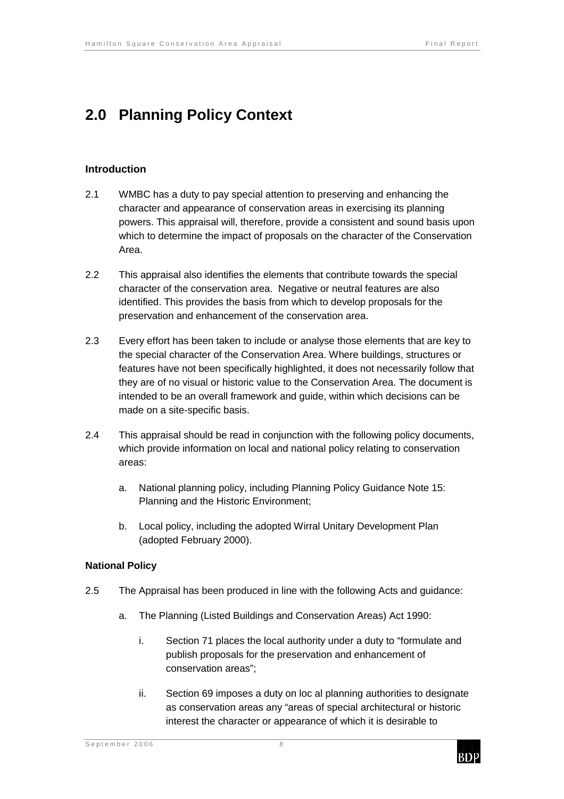# **2.0 Planning Policy Context**

#### **Introduction**

- 2.1 WMBC has a duty to pay special attention to preserving and enhancing the character and appearance of conservation areas in exercising its planning powers. This appraisal will, therefore, provide a consistent and sound basis upon which to determine the impact of proposals on the character of the Conservation Area.
- 2.2 This appraisal also identifies the elements that contribute towards the special character of the conservation area. Negative or neutral features are also identified. This provides the basis from which to develop proposals for the preservation and enhancement of the conservation area.
- 2.3 Every effort has been taken to include or analyse those elements that are key to the special character of the Conservation Area. Where buildings, structures or features have not been specifically highlighted, it does not necessarily follow that they are of no visual or historic value to the Conservation Area. The document is intended to be an overall framework and guide, within which decisions can be made on a site-specific basis.
- 2.4 This appraisal should be read in conjunction with the following policy documents, which provide information on local and national policy relating to conservation areas:
	- a. National planning policy, including Planning Policy Guidance Note 15: Planning and the Historic Environment;
	- b. Local policy, including the adopted Wirral Unitary Development Plan (adopted February 2000).

#### **National Policy**

- 2.5 The Appraisal has been produced in line with the following Acts and guidance:
	- a. The Planning (Listed Buildings and Conservation Areas) Act 1990:
		- i. Section 71 places the local authority under a duty to "formulate and publish proposals for the preservation and enhancement of conservation areas";
		- ii. Section 69 imposes a duty on loc al planning authorities to designate as conservation areas any "areas of special architectural or historic interest the character or appearance of which it is desirable to

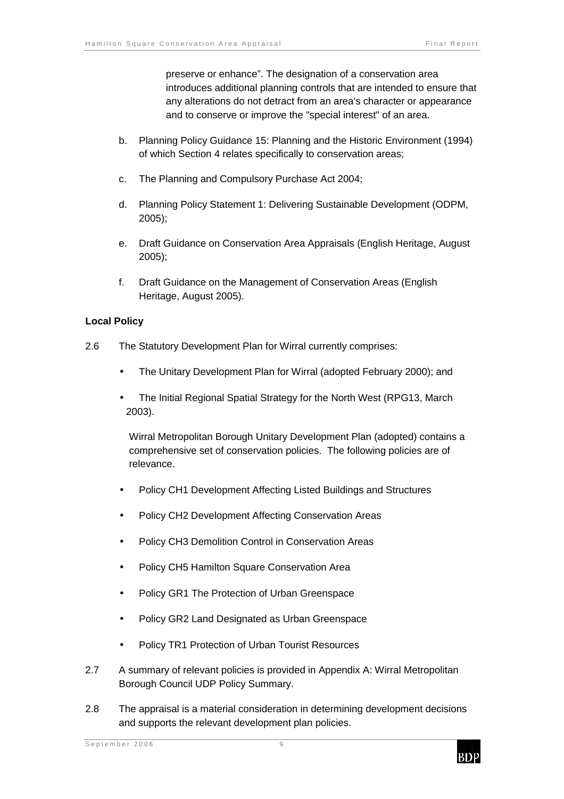preserve or enhance". The designation of a conservation area introduces additional planning controls that are intended to ensure that any alterations do not detract from an area's character or appearance and to conserve or improve the "special interest" of an area.

- b. Planning Policy Guidance 15: Planning and the Historic Environment (1994) of which Section 4 relates specifically to conservation areas;
- c. The Planning and Compulsory Purchase Act 2004;
- d. Planning Policy Statement 1: Delivering Sustainable Development (ODPM, 2005);
- e. Draft Guidance on Conservation Area Appraisals (English Heritage, August 2005);
- f. Draft Guidance on the Management of Conservation Areas (English Heritage, August 2005).

#### **Local Policy**

- 2.6 The Statutory Development Plan for Wirral currently comprises:
	- The Unitary Development Plan for Wirral (adopted February 2000); and
	- The Initial Regional Spatial Strategy for the North West (RPG13, March 2003).

Wirral Metropolitan Borough Unitary Development Plan (adopted) contains a comprehensive set of conservation policies. The following policies are of relevance.

- Policy CH1 Development Affecting Listed Buildings and Structures
- Policy CH2 Development Affecting Conservation Areas
- Policy CH3 Demolition Control in Conservation Areas
- Policy CH5 Hamilton Square Conservation Area
- Policy GR1 The Protection of Urban Greenspace
- Policy GR2 Land Designated as Urban Greenspace
- Policy TR1 Protection of Urban Tourist Resources
- 2.7 A summary of relevant policies is provided in Appendix A: Wirral Metropolitan Borough Council UDP Policy Summary.
- 2.8 The appraisal is a material consideration in determining development decisions and supports the relevant development plan policies.

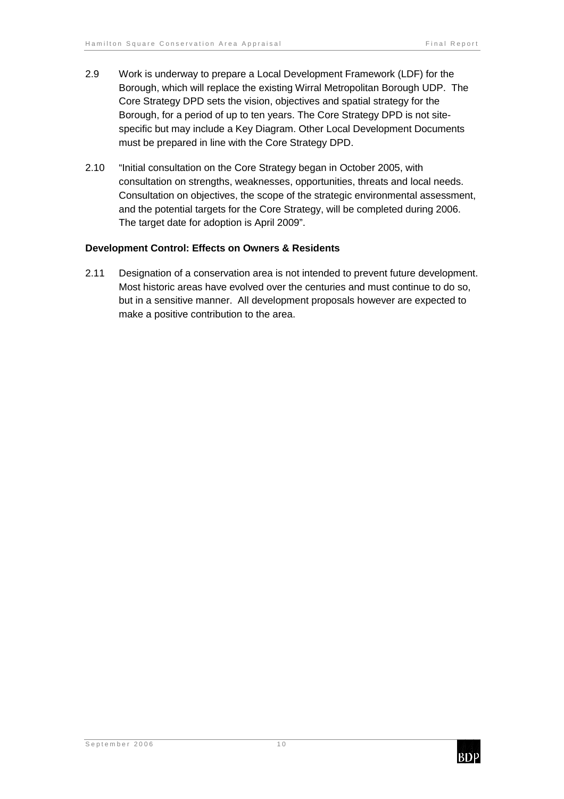- 2.9 Work is underway to prepare a Local Development Framework (LDF) for the Borough, which will replace the existing Wirral Metropolitan Borough UDP. The Core Strategy DPD sets the vision, objectives and spatial strategy for the Borough, for a period of up to ten years. The Core Strategy DPD is not sitespecific but may include a Key Diagram. Other Local Development Documents must be prepared in line with the Core Strategy DPD.
- 2.10 "Initial consultation on the Core Strategy began in October 2005, with consultation on strengths, weaknesses, opportunities, threats and local needs. Consultation on objectives, the scope of the strategic environmental assessment, and the potential targets for the Core Strategy, will be completed during 2006. The target date for adoption is April 2009".

#### **Development Control: Effects on Owners & Residents**

2.11 Designation of a conservation area is not intended to prevent future development. Most historic areas have evolved over the centuries and must continue to do so, but in a sensitive manner. All development proposals however are expected to make a positive contribution to the area.

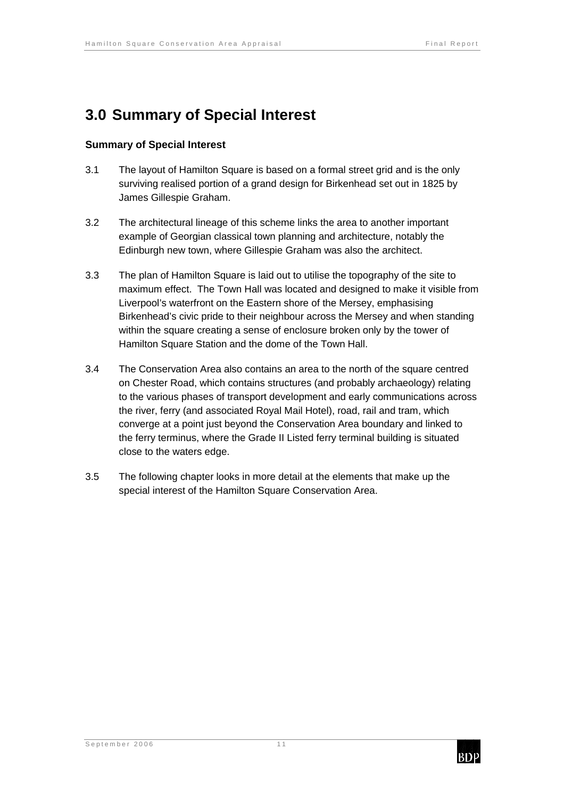# **3.0 Summary of Special Interest**

### **Summary of Special Interest**

- 3.1 The layout of Hamilton Square is based on a formal street grid and is the only surviving realised portion of a grand design for Birkenhead set out in 1825 by James Gillespie Graham.
- 3.2 The architectural lineage of this scheme links the area to another important example of Georgian classical town planning and architecture, notably the Edinburgh new town, where Gillespie Graham was also the architect.
- 3.3 The plan of Hamilton Square is laid out to utilise the topography of the site to maximum effect. The Town Hall was located and designed to make it visible from Liverpool's waterfront on the Eastern shore of the Mersey, emphasising Birkenhead's civic pride to their neighbour across the Mersey and when standing within the square creating a sense of enclosure broken only by the tower of Hamilton Square Station and the dome of the Town Hall.
- 3.4 The Conservation Area also contains an area to the north of the square centred on Chester Road, which contains structures (and probably archaeology) relating to the various phases of transport development and early communications across the river, ferry (and associated Royal Mail Hotel), road, rail and tram, which converge at a point just beyond the Conservation Area boundary and linked to the ferry terminus, where the Grade II Listed ferry terminal building is situated close to the waters edge.
- 3.5 The following chapter looks in more detail at the elements that make up the special interest of the Hamilton Square Conservation Area.

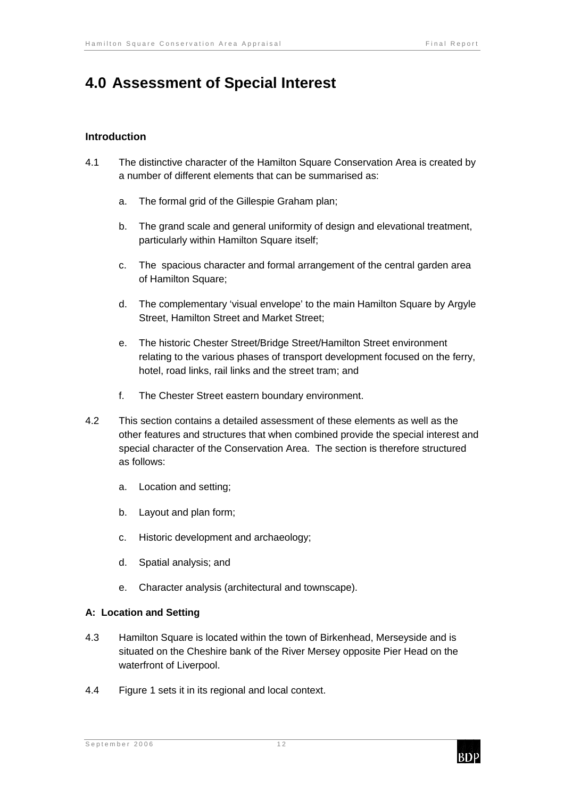# **4.0 Assessment of Special Interest**

### **Introduction**

- 4.1 The distinctive character of the Hamilton Square Conservation Area is created by a number of different elements that can be summarised as:
	- a. The formal grid of the Gillespie Graham plan;
	- b. The grand scale and general uniformity of design and elevational treatment, particularly within Hamilton Square itself;
	- c. The spacious character and formal arrangement of the central garden area of Hamilton Square;
	- d. The complementary 'visual envelope' to the main Hamilton Square by Argyle Street, Hamilton Street and Market Street;
	- e. The historic Chester Street/Bridge Street/Hamilton Street environment relating to the various phases of transport development focused on the ferry, hotel, road links, rail links and the street tram; and
	- f. The Chester Street eastern boundary environment.
- 4.2 This section contains a detailed assessment of these elements as well as the other features and structures that when combined provide the special interest and special character of the Conservation Area. The section is therefore structured as follows:
	- a. Location and setting;
	- b. Layout and plan form;
	- c. Historic development and archaeology;
	- d. Spatial analysis; and
	- e. Character analysis (architectural and townscape).

#### **A: Location and Setting**

- 4.3 Hamilton Square is located within the town of Birkenhead, Merseyside and is situated on the Cheshire bank of the River Mersey opposite Pier Head on the waterfront of Liverpool.
- 4.4 Figure 1 sets it in its regional and local context.

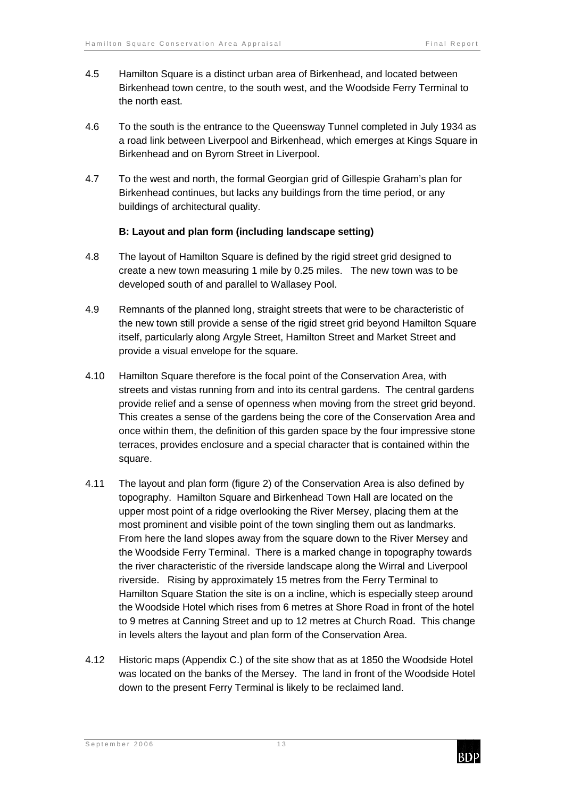- 4.5 Hamilton Square is a distinct urban area of Birkenhead, and located between Birkenhead town centre, to the south west, and the Woodside Ferry Terminal to the north east.
- 4.6 To the south is the entrance to the Queensway Tunnel completed in July 1934 as a road link between Liverpool and Birkenhead, which emerges at Kings Square in Birkenhead and on Byrom Street in Liverpool.
- 4.7 To the west and north, the formal Georgian grid of Gillespie Graham's plan for Birkenhead continues, but lacks any buildings from the time period, or any buildings of architectural quality.

### **B: Layout and plan form (including landscape setting)**

- 4.8 The layout of Hamilton Square is defined by the rigid street grid designed to create a new town measuring 1 mile by 0.25 miles. The new town was to be developed south of and parallel to Wallasey Pool.
- 4.9 Remnants of the planned long, straight streets that were to be characteristic of the new town still provide a sense of the rigid street grid beyond Hamilton Square itself, particularly along Argyle Street, Hamilton Street and Market Street and provide a visual envelope for the square.
- 4.10 Hamilton Square therefore is the focal point of the Conservation Area, with streets and vistas running from and into its central gardens. The central gardens provide relief and a sense of openness when moving from the street grid beyond. This creates a sense of the gardens being the core of the Conservation Area and once within them, the definition of this garden space by the four impressive stone terraces, provides enclosure and a special character that is contained within the square.
- 4.11 The layout and plan form (figure 2) of the Conservation Area is also defined by topography. Hamilton Square and Birkenhead Town Hall are located on the upper most point of a ridge overlooking the River Mersey, placing them at the most prominent and visible point of the town singling them out as landmarks. From here the land slopes away from the square down to the River Mersey and the Woodside Ferry Terminal. There is a marked change in topography towards the river characteristic of the riverside landscape along the Wirral and Liverpool riverside. Rising by approximately 15 metres from the Ferry Terminal to Hamilton Square Station the site is on a incline, which is especially steep around the Woodside Hotel which rises from 6 metres at Shore Road in front of the hotel to 9 metres at Canning Street and up to 12 metres at Church Road. This change in levels alters the layout and plan form of the Conservation Area.
- 4.12 Historic maps (Appendix C.) of the site show that as at 1850 the Woodside Hotel was located on the banks of the Mersey. The land in front of the Woodside Hotel down to the present Ferry Terminal is likely to be reclaimed land.

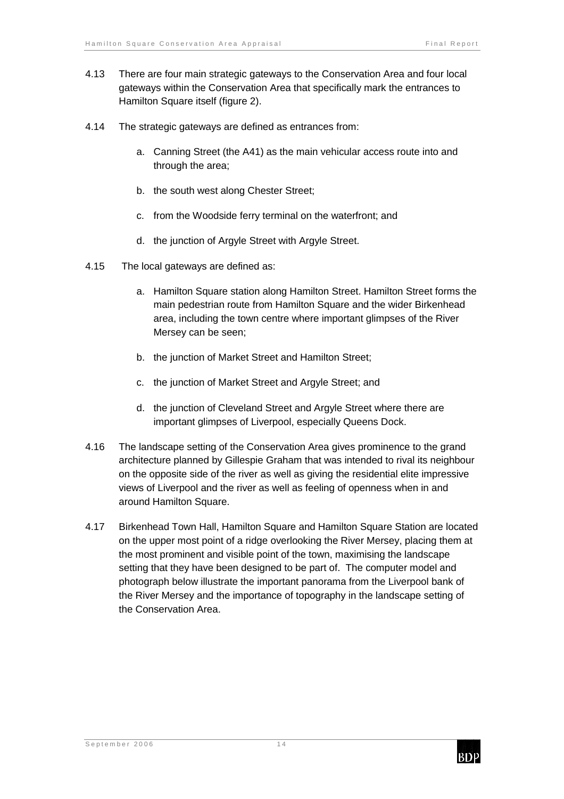- 4.13 There are four main strategic gateways to the Conservation Area and four local gateways within the Conservation Area that specifically mark the entrances to Hamilton Square itself (figure 2).
- 4.14 The strategic gateways are defined as entrances from:
	- a. Canning Street (the A41) as the main vehicular access route into and through the area;
	- b. the south west along Chester Street;
	- c. from the Woodside ferry terminal on the waterfront; and
	- d. the junction of Argyle Street with Argyle Street.
- 4.15 The local gateways are defined as:
	- a. Hamilton Square station along Hamilton Street. Hamilton Street forms the main pedestrian route from Hamilton Square and the wider Birkenhead area, including the town centre where important glimpses of the River Mersey can be seen;
	- b. the junction of Market Street and Hamilton Street;
	- c. the junction of Market Street and Argyle Street; and
	- d. the junction of Cleveland Street and Argyle Street where there are important glimpses of Liverpool, especially Queens Dock.
- 4.16 The landscape setting of the Conservation Area gives prominence to the grand architecture planned by Gillespie Graham that was intended to rival its neighbour on the opposite side of the river as well as giving the residential elite impressive views of Liverpool and the river as well as feeling of openness when in and around Hamilton Square.
- 4.17 Birkenhead Town Hall, Hamilton Square and Hamilton Square Station are located on the upper most point of a ridge overlooking the River Mersey, placing them at the most prominent and visible point of the town, maximising the landscape setting that they have been designed to be part of. The computer model and photograph below illustrate the important panorama from the Liverpool bank of the River Mersey and the importance of topography in the landscape setting of the Conservation Area.

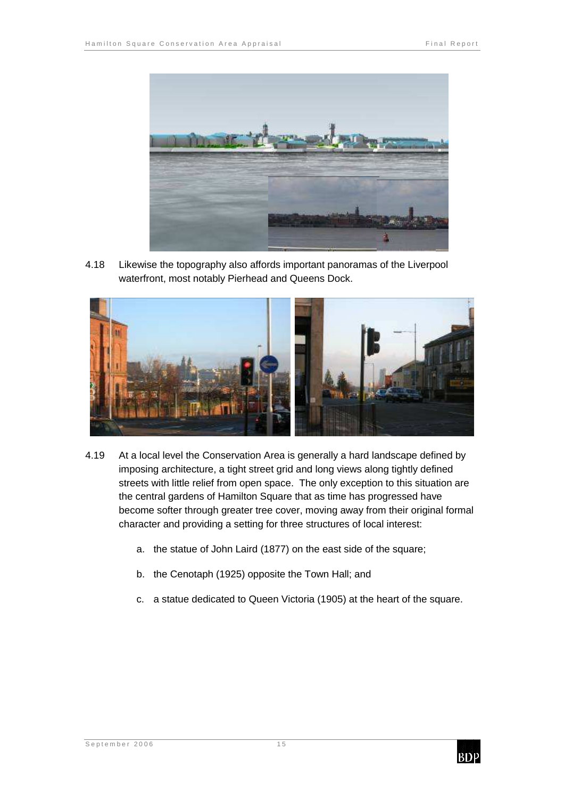

4.18 Likewise the topography also affords important panoramas of the Liverpool waterfront, most notably Pierhead and Queens Dock.



- 4.19 At a local level the Conservation Area is generally a hard landscape defined by imposing architecture, a tight street grid and long views along tightly defined streets with little relief from open space. The only exception to this situation are the central gardens of Hamilton Square that as time has progressed have become softer through greater tree cover, moving away from their original formal character and providing a setting for three structures of local interest:
	- a. the statue of John Laird (1877) on the east side of the square;
	- b. the Cenotaph (1925) opposite the Town Hall; and
	- c. a statue dedicated to Queen Victoria (1905) at the heart of the square.

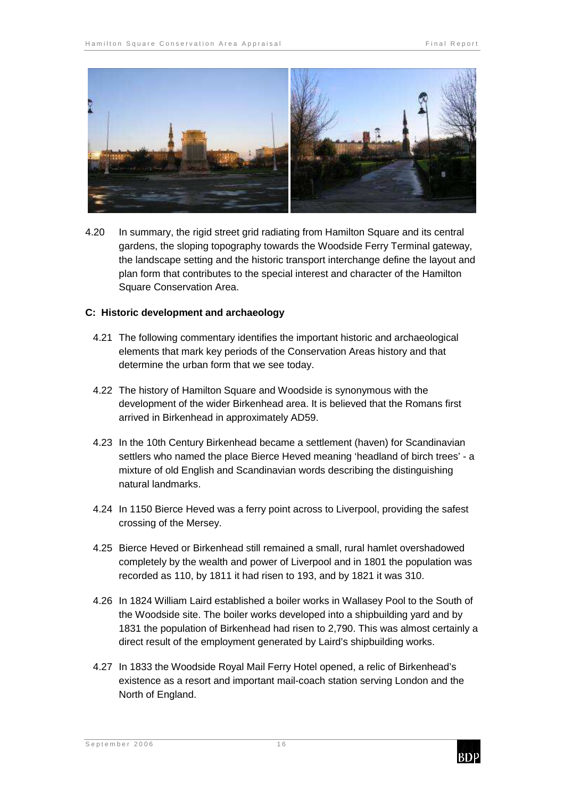

4.20 In summary, the rigid street grid radiating from Hamilton Square and its central gardens, the sloping topography towards the Woodside Ferry Terminal gateway, the landscape setting and the historic transport interchange define the layout and plan form that contributes to the special interest and character of the Hamilton Square Conservation Area.

#### **C: Historic development and archaeology**

- 4.21 The following commentary identifies the important historic and archaeological elements that mark key periods of the Conservation Areas history and that determine the urban form that we see today.
- 4.22 The history of Hamilton Square and Woodside is synonymous with the development of the wider Birkenhead area. It is believed that the Romans first arrived in Birkenhead in approximately AD59.
- 4.23 In the 10th Century Birkenhead became a settlement (haven) for Scandinavian settlers who named the place Bierce Heved meaning 'headland of birch trees' - a mixture of old English and Scandinavian words describing the distinguishing natural landmarks.
- 4.24 In 1150 Bierce Heved was a ferry point across to Liverpool, providing the safest crossing of the Mersey.
- 4.25 Bierce Heved or Birkenhead still remained a small, rural hamlet overshadowed completely by the wealth and power of Liverpool and in 1801 the population was recorded as 110, by 1811 it had risen to 193, and by 1821 it was 310.
- 4.26 In 1824 William Laird established a boiler works in Wallasey Pool to the South of the Woodside site. The boiler works developed into a shipbuilding yard and by 1831 the population of Birkenhead had risen to 2,790. This was almost certainly a direct result of the employment generated by Laird's shipbuilding works.
- 4.27 In 1833 the Woodside Royal Mail Ferry Hotel opened, a relic of Birkenhead's existence as a resort and important mail-coach station serving London and the North of England.

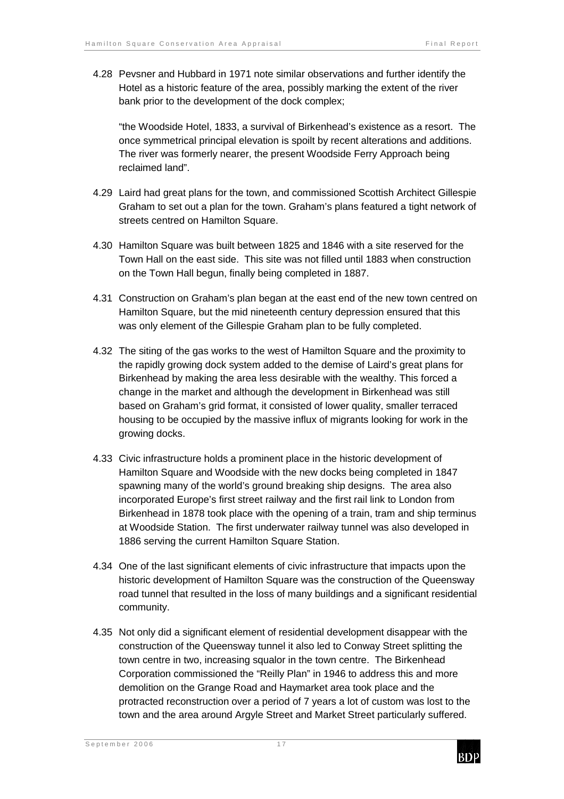4.28 Pevsner and Hubbard in 1971 note similar observations and further identify the Hotel as a historic feature of the area, possibly marking the extent of the river bank prior to the development of the dock complex;

"the Woodside Hotel, 1833, a survival of Birkenhead's existence as a resort. The once symmetrical principal elevation is spoilt by recent alterations and additions. The river was formerly nearer, the present Woodside Ferry Approach being reclaimed land".

- 4.29 Laird had great plans for the town, and commissioned Scottish Architect Gillespie Graham to set out a plan for the town. Graham's plans featured a tight network of streets centred on Hamilton Square.
- 4.30 Hamilton Square was built between 1825 and 1846 with a site reserved for the Town Hall on the east side. This site was not filled until 1883 when construction on the Town Hall begun, finally being completed in 1887.
- 4.31 Construction on Graham's plan began at the east end of the new town centred on Hamilton Square, but the mid nineteenth century depression ensured that this was only element of the Gillespie Graham plan to be fully completed.
- 4.32 The siting of the gas works to the west of Hamilton Square and the proximity to the rapidly growing dock system added to the demise of Laird's great plans for Birkenhead by making the area less desirable with the wealthy. This forced a change in the market and although the development in Birkenhead was still based on Graham's grid format, it consisted of lower quality, smaller terraced housing to be occupied by the massive influx of migrants looking for work in the growing docks.
- 4.33 Civic infrastructure holds a prominent place in the historic development of Hamilton Square and Woodside with the new docks being completed in 1847 spawning many of the world's ground breaking ship designs. The area also incorporated Europe's first street railway and the first rail link to London from Birkenhead in 1878 took place with the opening of a train, tram and ship terminus at Woodside Station. The first underwater railway tunnel was also developed in 1886 serving the current Hamilton Square Station.
- 4.34 One of the last significant elements of civic infrastructure that impacts upon the historic development of Hamilton Square was the construction of the Queensway road tunnel that resulted in the loss of many buildings and a significant residential community.
- 4.35 Not only did a significant element of residential development disappear with the construction of the Queensway tunnel it also led to Conway Street splitting the town centre in two, increasing squalor in the town centre. The Birkenhead Corporation commissioned the "Reilly Plan" in 1946 to address this and more demolition on the Grange Road and Haymarket area took place and the protracted reconstruction over a period of 7 years a lot of custom was lost to the town and the area around Argyle Street and Market Street particularly suffered.

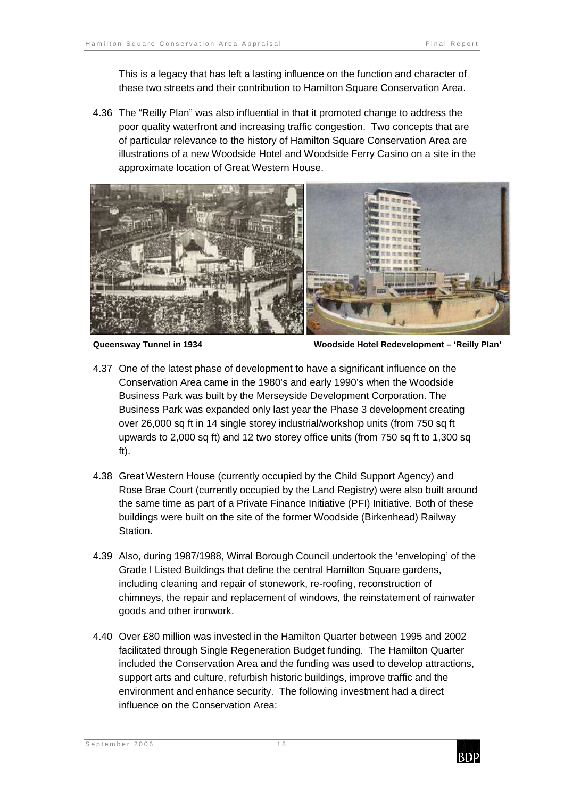This is a legacy that has left a lasting influence on the function and character of these two streets and their contribution to Hamilton Square Conservation Area.

4.36 The "Reilly Plan" was also influential in that it promoted change to address the poor quality waterfront and increasing traffic congestion. Two concepts that are of particular relevance to the history of Hamilton Square Conservation Area are illustrations of a new Woodside Hotel and Woodside Ferry Casino on a site in the approximate location of Great Western House.



**Queensway Tunnel in 1934 Woodside Hotel Redevelopment – 'Reilly Plan'** 

- 4.37 One of the latest phase of development to have a significant influence on the Conservation Area came in the 1980's and early 1990's when the Woodside Business Park was built by the Merseyside Development Corporation. The Business Park was expanded only last year the Phase 3 development creating over 26,000 sq ft in 14 single storey industrial/workshop units (from 750 sq ft upwards to 2,000 sq ft) and 12 two storey office units (from 750 sq ft to 1,300 sq ft).
- 4.38 Great Western House (currently occupied by the Child Support Agency) and Rose Brae Court (currently occupied by the Land Registry) were also built around the same time as part of a Private Finance Initiative (PFI) Initiative. Both of these buildings were built on the site of the former Woodside (Birkenhead) Railway Station.
- 4.39 Also, during 1987/1988, Wirral Borough Council undertook the 'enveloping' of the Grade I Listed Buildings that define the central Hamilton Square gardens, including cleaning and repair of stonework, re-roofing, reconstruction of chimneys, the repair and replacement of windows, the reinstatement of rainwater goods and other ironwork.
- 4.40 Over £80 million was invested in the Hamilton Quarter between 1995 and 2002 facilitated through Single Regeneration Budget funding. The Hamilton Quarter included the Conservation Area and the funding was used to develop attractions, support arts and culture, refurbish historic buildings, improve traffic and the environment and enhance security. The following investment had a direct influence on the Conservation Area:

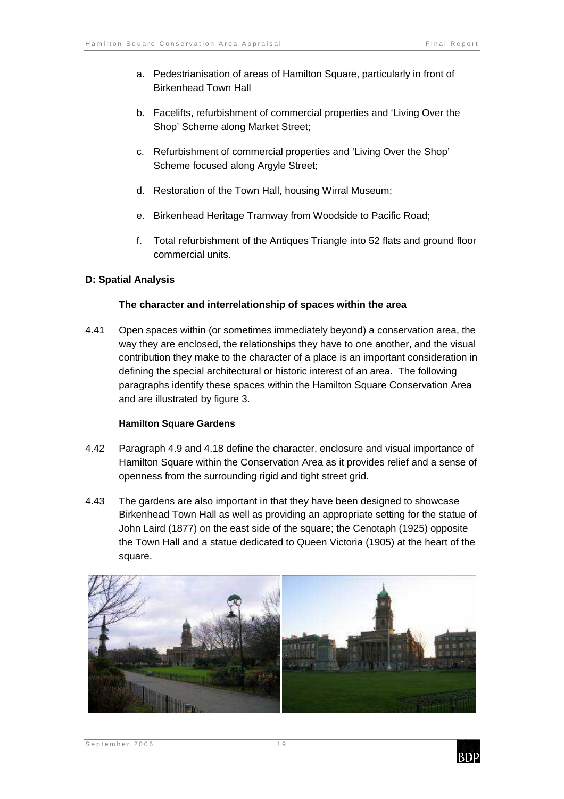- a. Pedestrianisation of areas of Hamilton Square, particularly in front of Birkenhead Town Hall
- b. Facelifts, refurbishment of commercial properties and 'Living Over the Shop' Scheme along Market Street;
- c. Refurbishment of commercial properties and 'Living Over the Shop' Scheme focused along Argyle Street;
- d. Restoration of the Town Hall, housing Wirral Museum;
- e. Birkenhead Heritage Tramway from Woodside to Pacific Road;
- f. Total refurbishment of the Antiques Triangle into 52 flats and ground floor commercial units.

#### **D: Spatial Analysis**

#### **The character and interrelationship of spaces within the area**

4.41 Open spaces within (or sometimes immediately beyond) a conservation area, the way they are enclosed, the relationships they have to one another, and the visual contribution they make to the character of a place is an important consideration in defining the special architectural or historic interest of an area. The following paragraphs identify these spaces within the Hamilton Square Conservation Area and are illustrated by figure 3.

#### **Hamilton Square Gardens**

- 4.42 Paragraph 4.9 and 4.18 define the character, enclosure and visual importance of Hamilton Square within the Conservation Area as it provides relief and a sense of openness from the surrounding rigid and tight street grid.
- 4.43 The gardens are also important in that they have been designed to showcase Birkenhead Town Hall as well as providing an appropriate setting for the statue of John Laird (1877) on the east side of the square; the Cenotaph (1925) opposite the Town Hall and a statue dedicated to Queen Victoria (1905) at the heart of the square.





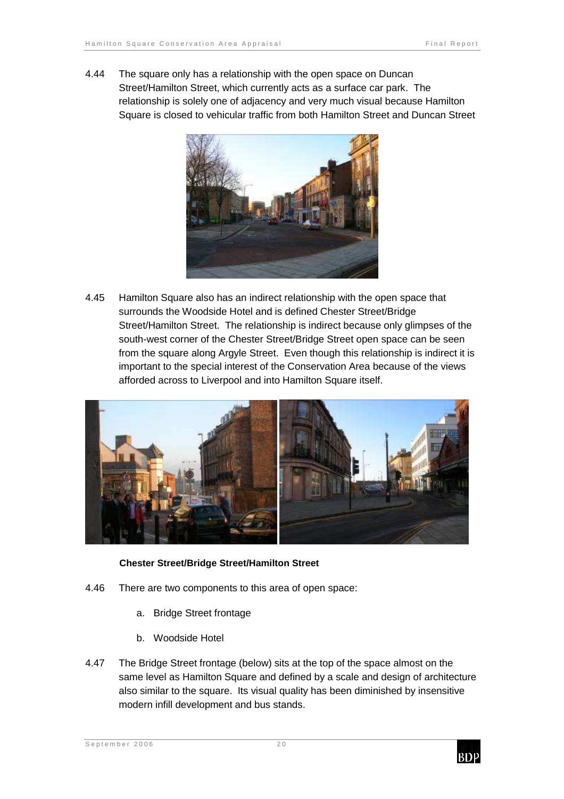4.44 The square only has a relationship with the open space on Duncan Street/Hamilton Street, which currently acts as a surface car park. The relationship is solely one of adjacency and very much visual because Hamilton Square is closed to vehicular traffic from both Hamilton Street and Duncan Street



4.45 Hamilton Square also has an indirect relationship with the open space that surrounds the Woodside Hotel and is defined Chester Street/Bridge Street/Hamilton Street. The relationship is indirect because only glimpses of the south-west corner of the Chester Street/Bridge Street open space can be seen from the square along Argyle Street. Even though this relationship is indirect it is important to the special interest of the Conservation Area because of the views afforded across to Liverpool and into Hamilton Square itself.



#### **Chester Street/Bridge Street/Hamilton Street**

- 4.46 There are two components to this area of open space:
	- a. Bridge Street frontage
	- b. Woodside Hotel
- 4.47 The Bridge Street frontage (below) sits at the top of the space almost on the same level as Hamilton Square and defined by a scale and design of architecture also similar to the square. Its visual quality has been diminished by insensitive modern infill development and bus stands.

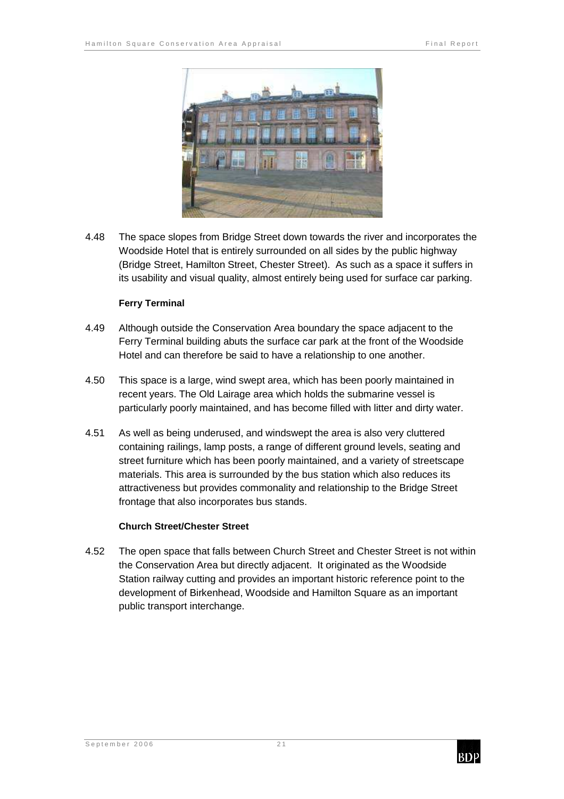

4.48 The space slopes from Bridge Street down towards the river and incorporates the Woodside Hotel that is entirely surrounded on all sides by the public highway (Bridge Street, Hamilton Street, Chester Street). As such as a space it suffers in its usability and visual quality, almost entirely being used for surface car parking.

#### **Ferry Terminal**

- 4.49 Although outside the Conservation Area boundary the space adjacent to the Ferry Terminal building abuts the surface car park at the front of the Woodside Hotel and can therefore be said to have a relationship to one another.
- 4.50 This space is a large, wind swept area, which has been poorly maintained in recent years. The Old Lairage area which holds the submarine vessel is particularly poorly maintained, and has become filled with litter and dirty water.
- 4.51 As well as being underused, and windswept the area is also very cluttered containing railings, lamp posts, a range of different ground levels, seating and street furniture which has been poorly maintained, and a variety of streetscape materials. This area is surrounded by the bus station which also reduces its attractiveness but provides commonality and relationship to the Bridge Street frontage that also incorporates bus stands.

#### **Church Street/Chester Street**

4.52 The open space that falls between Church Street and Chester Street is not within the Conservation Area but directly adjacent. It originated as the Woodside Station railway cutting and provides an important historic reference point to the development of Birkenhead, Woodside and Hamilton Square as an important public transport interchange.

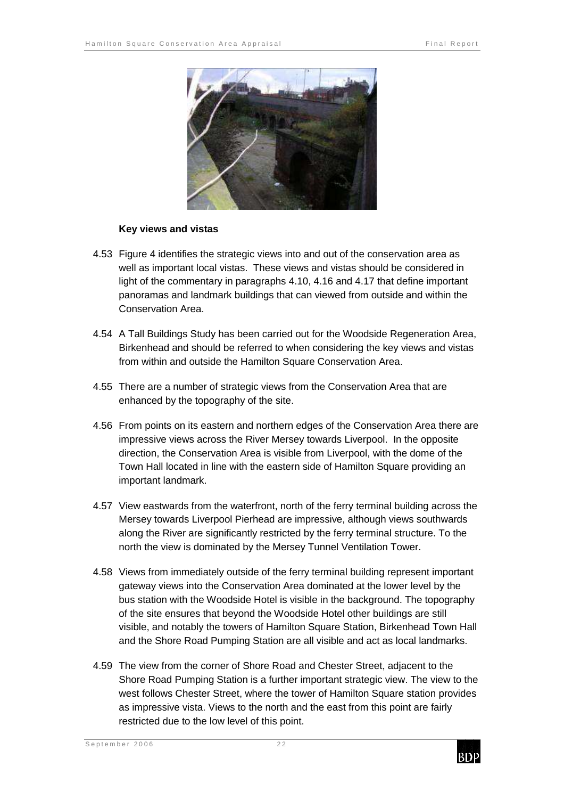

#### **Key views and vistas**

- 4.53 Figure 4 identifies the strategic views into and out of the conservation area as well as important local vistas. These views and vistas should be considered in light of the commentary in paragraphs 4.10, 4.16 and 4.17 that define important panoramas and landmark buildings that can viewed from outside and within the Conservation Area.
- 4.54 A Tall Buildings Study has been carried out for the Woodside Regeneration Area, Birkenhead and should be referred to when considering the key views and vistas from within and outside the Hamilton Square Conservation Area.
- 4.55 There are a number of strategic views from the Conservation Area that are enhanced by the topography of the site.
- 4.56 From points on its eastern and northern edges of the Conservation Area there are impressive views across the River Mersey towards Liverpool. In the opposite direction, the Conservation Area is visible from Liverpool, with the dome of the Town Hall located in line with the eastern side of Hamilton Square providing an important landmark.
- 4.57 View eastwards from the waterfront, north of the ferry terminal building across the Mersey towards Liverpool Pierhead are impressive, although views southwards along the River are significantly restricted by the ferry terminal structure. To the north the view is dominated by the Mersey Tunnel Ventilation Tower.
- 4.58 Views from immediately outside of the ferry terminal building represent important gateway views into the Conservation Area dominated at the lower level by the bus station with the Woodside Hotel is visible in the background. The topography of the site ensures that beyond the Woodside Hotel other buildings are still visible, and notably the towers of Hamilton Square Station, Birkenhead Town Hall and the Shore Road Pumping Station are all visible and act as local landmarks.
- 4.59 The view from the corner of Shore Road and Chester Street, adjacent to the Shore Road Pumping Station is a further important strategic view. The view to the west follows Chester Street, where the tower of Hamilton Square station provides as impressive vista. Views to the north and the east from this point are fairly restricted due to the low level of this point.

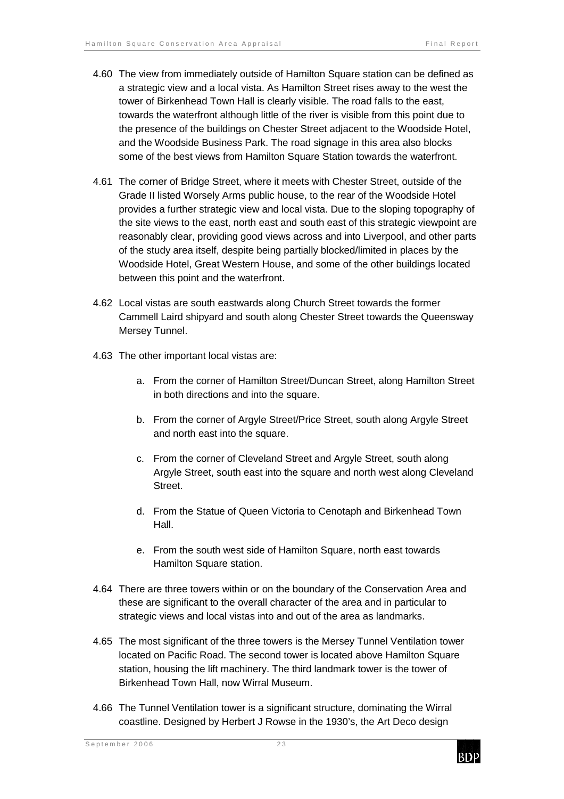- 4.60 The view from immediately outside of Hamilton Square station can be defined as a strategic view and a local vista. As Hamilton Street rises away to the west the tower of Birkenhead Town Hall is clearly visible. The road falls to the east, towards the waterfront although little of the river is visible from this point due to the presence of the buildings on Chester Street adjacent to the Woodside Hotel, and the Woodside Business Park. The road signage in this area also blocks some of the best views from Hamilton Square Station towards the waterfront.
- 4.61 The corner of Bridge Street, where it meets with Chester Street, outside of the Grade II listed Worsely Arms public house, to the rear of the Woodside Hotel provides a further strategic view and local vista. Due to the sloping topography of the site views to the east, north east and south east of this strategic viewpoint are reasonably clear, providing good views across and into Liverpool, and other parts of the study area itself, despite being partially blocked/limited in places by the Woodside Hotel, Great Western House, and some of the other buildings located between this point and the waterfront.
- 4.62 Local vistas are south eastwards along Church Street towards the former Cammell Laird shipyard and south along Chester Street towards the Queensway Mersey Tunnel.
- 4.63 The other important local vistas are:
	- a. From the corner of Hamilton Street/Duncan Street, along Hamilton Street in both directions and into the square.
	- b. From the corner of Argyle Street/Price Street, south along Argyle Street and north east into the square.
	- c. From the corner of Cleveland Street and Argyle Street, south along Argyle Street, south east into the square and north west along Cleveland Street.
	- d. From the Statue of Queen Victoria to Cenotaph and Birkenhead Town Hall.
	- e. From the south west side of Hamilton Square, north east towards Hamilton Square station.
- 4.64 There are three towers within or on the boundary of the Conservation Area and these are significant to the overall character of the area and in particular to strategic views and local vistas into and out of the area as landmarks.
- 4.65 The most significant of the three towers is the Mersey Tunnel Ventilation tower located on Pacific Road. The second tower is located above Hamilton Square station, housing the lift machinery. The third landmark tower is the tower of Birkenhead Town Hall, now Wirral Museum.
- 4.66 The Tunnel Ventilation tower is a significant structure, dominating the Wirral coastline. Designed by Herbert J Rowse in the 1930's, the Art Deco design

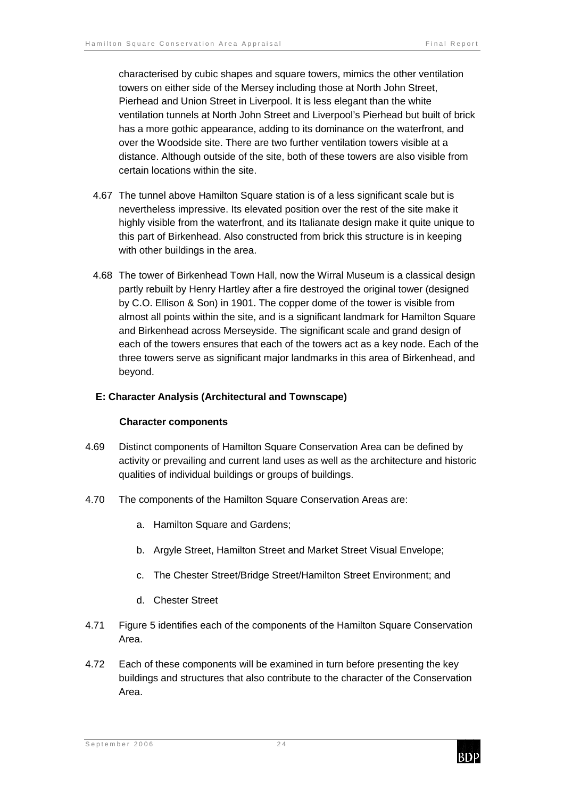characterised by cubic shapes and square towers, mimics the other ventilation towers on either side of the Mersey including those at North John Street, Pierhead and Union Street in Liverpool. It is less elegant than the white ventilation tunnels at North John Street and Liverpool's Pierhead but built of brick has a more gothic appearance, adding to its dominance on the waterfront, and over the Woodside site. There are two further ventilation towers visible at a distance. Although outside of the site, both of these towers are also visible from certain locations within the site.

- 4.67 The tunnel above Hamilton Square station is of a less significant scale but is nevertheless impressive. Its elevated position over the rest of the site make it highly visible from the waterfront, and its Italianate design make it quite unique to this part of Birkenhead. Also constructed from brick this structure is in keeping with other buildings in the area.
- 4.68 The tower of Birkenhead Town Hall, now the Wirral Museum is a classical design partly rebuilt by Henry Hartley after a fire destroyed the original tower (designed by C.O. Ellison & Son) in 1901. The copper dome of the tower is visible from almost all points within the site, and is a significant landmark for Hamilton Square and Birkenhead across Merseyside. The significant scale and grand design of each of the towers ensures that each of the towers act as a key node. Each of the three towers serve as significant major landmarks in this area of Birkenhead, and beyond.

#### **E: Character Analysis (Architectural and Townscape)**

#### **Character components**

- 4.69 Distinct components of Hamilton Square Conservation Area can be defined by activity or prevailing and current land uses as well as the architecture and historic qualities of individual buildings or groups of buildings.
- 4.70 The components of the Hamilton Square Conservation Areas are:
	- a. Hamilton Square and Gardens;
	- b. Argyle Street, Hamilton Street and Market Street Visual Envelope;
	- c. The Chester Street/Bridge Street/Hamilton Street Environment; and
	- d. Chester Street
- 4.71 Figure 5 identifies each of the components of the Hamilton Square Conservation Area.
- 4.72 Each of these components will be examined in turn before presenting the key buildings and structures that also contribute to the character of the Conservation Area.

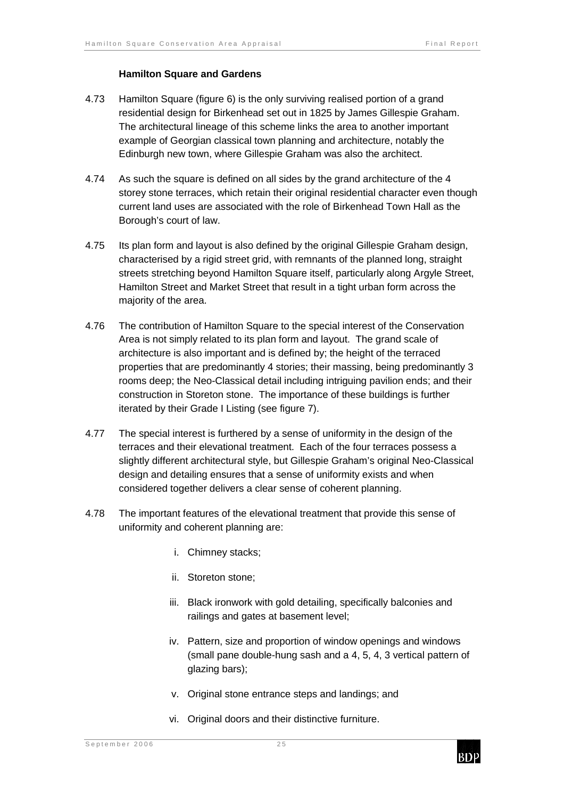#### **Hamilton Square and Gardens**

- 4.73 Hamilton Square (figure 6) is the only surviving realised portion of a grand residential design for Birkenhead set out in 1825 by James Gillespie Graham. The architectural lineage of this scheme links the area to another important example of Georgian classical town planning and architecture, notably the Edinburgh new town, where Gillespie Graham was also the architect.
- 4.74 As such the square is defined on all sides by the grand architecture of the 4 storey stone terraces, which retain their original residential character even though current land uses are associated with the role of Birkenhead Town Hall as the Borough's court of law.
- 4.75 Its plan form and layout is also defined by the original Gillespie Graham design, characterised by a rigid street grid, with remnants of the planned long, straight streets stretching beyond Hamilton Square itself, particularly along Argyle Street, Hamilton Street and Market Street that result in a tight urban form across the majority of the area.
- 4.76 The contribution of Hamilton Square to the special interest of the Conservation Area is not simply related to its plan form and layout. The grand scale of architecture is also important and is defined by; the height of the terraced properties that are predominantly 4 stories; their massing, being predominantly 3 rooms deep; the Neo-Classical detail including intriguing pavilion ends; and their construction in Storeton stone. The importance of these buildings is further iterated by their Grade I Listing (see figure 7).
- 4.77 The special interest is furthered by a sense of uniformity in the design of the terraces and their elevational treatment. Each of the four terraces possess a slightly different architectural style, but Gillespie Graham's original Neo-Classical design and detailing ensures that a sense of uniformity exists and when considered together delivers a clear sense of coherent planning.
- 4.78 The important features of the elevational treatment that provide this sense of uniformity and coherent planning are:
	- i. Chimney stacks;
	- ii. Storeton stone;
	- iii. Black ironwork with gold detailing, specifically balconies and railings and gates at basement level;
	- iv. Pattern, size and proportion of window openings and windows (small pane double-hung sash and a 4, 5, 4, 3 vertical pattern of glazing bars);
	- v. Original stone entrance steps and landings; and
	- vi. Original doors and their distinctive furniture.

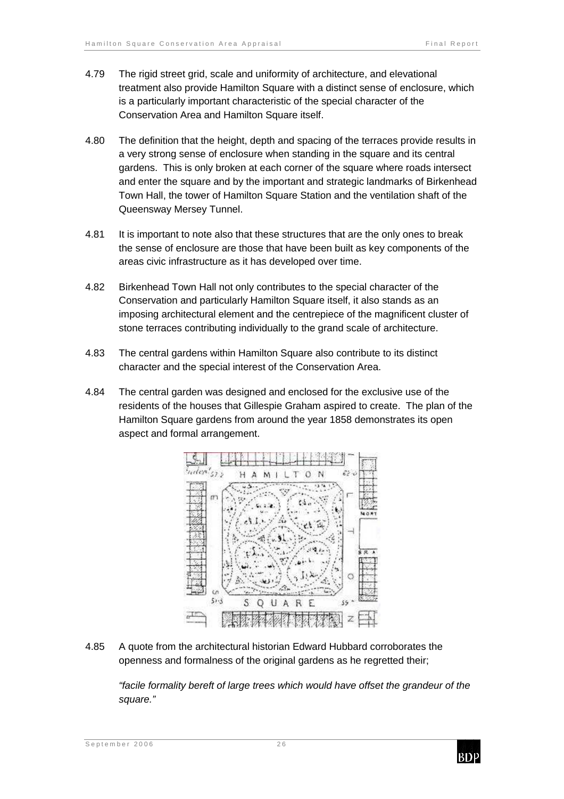- 4.79 The rigid street grid, scale and uniformity of architecture, and elevational treatment also provide Hamilton Square with a distinct sense of enclosure, which is a particularly important characteristic of the special character of the Conservation Area and Hamilton Square itself.
- 4.80 The definition that the height, depth and spacing of the terraces provide results in a very strong sense of enclosure when standing in the square and its central gardens. This is only broken at each corner of the square where roads intersect and enter the square and by the important and strategic landmarks of Birkenhead Town Hall, the tower of Hamilton Square Station and the ventilation shaft of the Queensway Mersey Tunnel.
- 4.81 It is important to note also that these structures that are the only ones to break the sense of enclosure are those that have been built as key components of the areas civic infrastructure as it has developed over time.
- 4.82 Birkenhead Town Hall not only contributes to the special character of the Conservation and particularly Hamilton Square itself, it also stands as an imposing architectural element and the centrepiece of the magnificent cluster of stone terraces contributing individually to the grand scale of architecture.
- 4.83 The central gardens within Hamilton Square also contribute to its distinct character and the special interest of the Conservation Area.
- 4.84 The central garden was designed and enclosed for the exclusive use of the residents of the houses that Gillespie Graham aspired to create. The plan of the Hamilton Square gardens from around the year 1858 demonstrates its open aspect and formal arrangement.



4.85 A quote from the architectural historian Edward Hubbard corroborates the openness and formalness of the original gardens as he regretted their;

"facile formality bereft of large trees which would have offset the grandeur of the square."

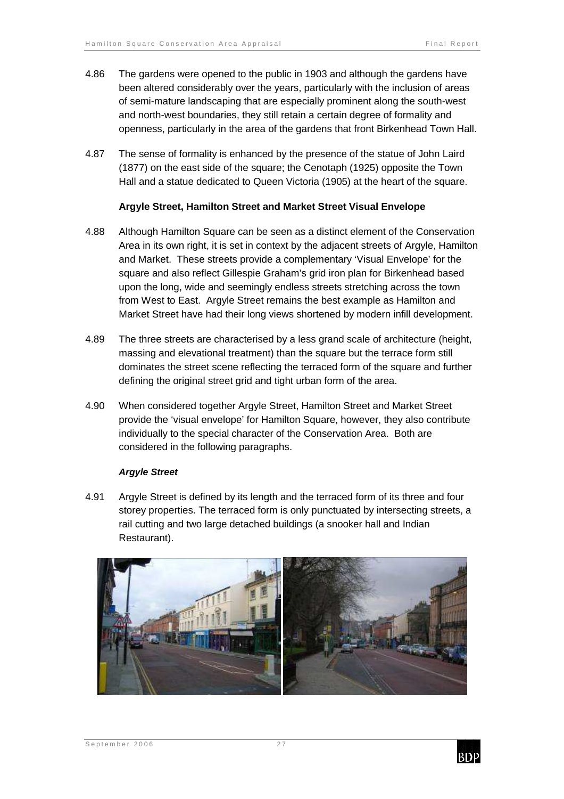- 4.86 The gardens were opened to the public in 1903 and although the gardens have been altered considerably over the years, particularly with the inclusion of areas of semi-mature landscaping that are especially prominent along the south-west and north-west boundaries, they still retain a certain degree of formality and openness, particularly in the area of the gardens that front Birkenhead Town Hall.
- 4.87 The sense of formality is enhanced by the presence of the statue of John Laird (1877) on the east side of the square; the Cenotaph (1925) opposite the Town Hall and a statue dedicated to Queen Victoria (1905) at the heart of the square.

#### **Argyle Street, Hamilton Street and Market Street Visual Envelope**

- 4.88 Although Hamilton Square can be seen as a distinct element of the Conservation Area in its own right, it is set in context by the adjacent streets of Argyle, Hamilton and Market. These streets provide a complementary 'Visual Envelope' for the square and also reflect Gillespie Graham's grid iron plan for Birkenhead based upon the long, wide and seemingly endless streets stretching across the town from West to East. Argyle Street remains the best example as Hamilton and Market Street have had their long views shortened by modern infill development.
- 4.89 The three streets are characterised by a less grand scale of architecture (height, massing and elevational treatment) than the square but the terrace form still dominates the street scene reflecting the terraced form of the square and further defining the original street grid and tight urban form of the area.
- 4.90 When considered together Argyle Street, Hamilton Street and Market Street provide the 'visual envelope' for Hamilton Square, however, they also contribute individually to the special character of the Conservation Area. Both are considered in the following paragraphs.

#### **Argyle Street**

4.91 Argyle Street is defined by its length and the terraced form of its three and four storey properties. The terraced form is only punctuated by intersecting streets, a rail cutting and two large detached buildings (a snooker hall and Indian Restaurant).



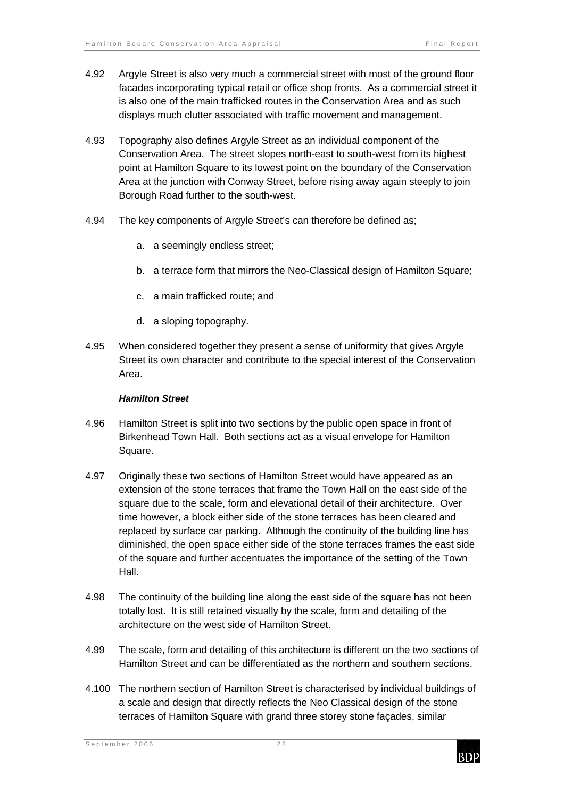- 4.92 Argyle Street is also very much a commercial street with most of the ground floor facades incorporating typical retail or office shop fronts. As a commercial street it is also one of the main trafficked routes in the Conservation Area and as such displays much clutter associated with traffic movement and management.
- 4.93 Topography also defines Argyle Street as an individual component of the Conservation Area. The street slopes north-east to south-west from its highest point at Hamilton Square to its lowest point on the boundary of the Conservation Area at the junction with Conway Street, before rising away again steeply to join Borough Road further to the south-west.
- 4.94 The key components of Argyle Street's can therefore be defined as;
	- a. a seemingly endless street;
	- b. a terrace form that mirrors the Neo-Classical design of Hamilton Square;
	- c. a main trafficked route; and
	- d. a sloping topography.
- 4.95 When considered together they present a sense of uniformity that gives Argyle Street its own character and contribute to the special interest of the Conservation Area.

#### **Hamilton Street**

- 4.96 Hamilton Street is split into two sections by the public open space in front of Birkenhead Town Hall. Both sections act as a visual envelope for Hamilton Square.
- 4.97 Originally these two sections of Hamilton Street would have appeared as an extension of the stone terraces that frame the Town Hall on the east side of the square due to the scale, form and elevational detail of their architecture. Over time however, a block either side of the stone terraces has been cleared and replaced by surface car parking. Although the continuity of the building line has diminished, the open space either side of the stone terraces frames the east side of the square and further accentuates the importance of the setting of the Town Hall.
- 4.98 The continuity of the building line along the east side of the square has not been totally lost. It is still retained visually by the scale, form and detailing of the architecture on the west side of Hamilton Street.
- 4.99 The scale, form and detailing of this architecture is different on the two sections of Hamilton Street and can be differentiated as the northern and southern sections.
- 4.100 The northern section of Hamilton Street is characterised by individual buildings of a scale and design that directly reflects the Neo Classical design of the stone terraces of Hamilton Square with grand three storey stone façades, similar

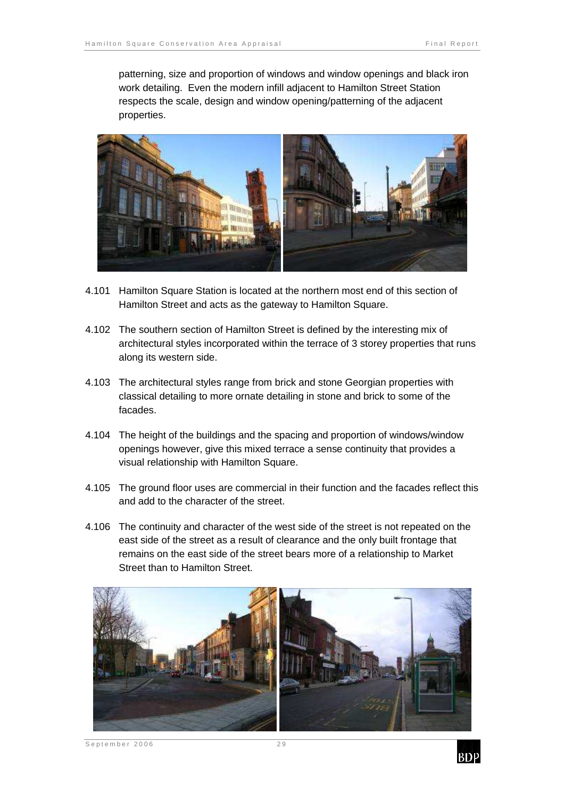patterning, size and proportion of windows and window openings and black iron work detailing. Even the modern infill adjacent to Hamilton Street Station respects the scale, design and window opening/patterning of the adjacent properties.



- 4.101 Hamilton Square Station is located at the northern most end of this section of Hamilton Street and acts as the gateway to Hamilton Square.
- 4.102 The southern section of Hamilton Street is defined by the interesting mix of architectural styles incorporated within the terrace of 3 storey properties that runs along its western side.
- 4.103 The architectural styles range from brick and stone Georgian properties with classical detailing to more ornate detailing in stone and brick to some of the facades.
- 4.104 The height of the buildings and the spacing and proportion of windows/window openings however, give this mixed terrace a sense continuity that provides a visual relationship with Hamilton Square.
- 4.105 The ground floor uses are commercial in their function and the facades reflect this and add to the character of the street.
- 4.106 The continuity and character of the west side of the street is not repeated on the east side of the street as a result of clearance and the only built frontage that remains on the east side of the street bears more of a relationship to Market Street than to Hamilton Street.



September 2006 29

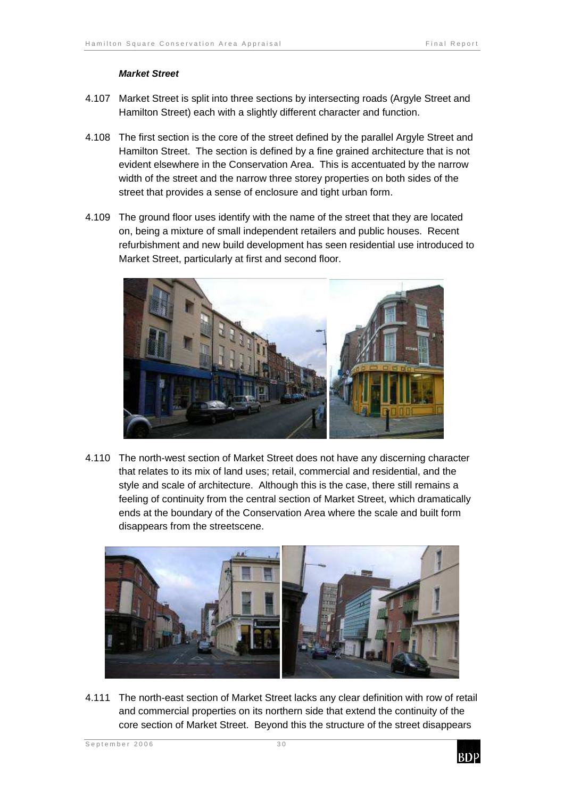#### **Market Street**

- 4.107 Market Street is split into three sections by intersecting roads (Argyle Street and Hamilton Street) each with a slightly different character and function.
- 4.108 The first section is the core of the street defined by the parallel Argyle Street and Hamilton Street. The section is defined by a fine grained architecture that is not evident elsewhere in the Conservation Area. This is accentuated by the narrow width of the street and the narrow three storey properties on both sides of the street that provides a sense of enclosure and tight urban form.
- 4.109 The ground floor uses identify with the name of the street that they are located on, being a mixture of small independent retailers and public houses. Recent refurbishment and new build development has seen residential use introduced to Market Street, particularly at first and second floor.



4.110 The north-west section of Market Street does not have any discerning character that relates to its mix of land uses; retail, commercial and residential, and the style and scale of architecture. Although this is the case, there still remains a feeling of continuity from the central section of Market Street, which dramatically ends at the boundary of the Conservation Area where the scale and built form disappears from the streetscene.



4.111 The north-east section of Market Street lacks any clear definition with row of retail and commercial properties on its northern side that extend the continuity of the core section of Market Street. Beyond this the structure of the street disappears

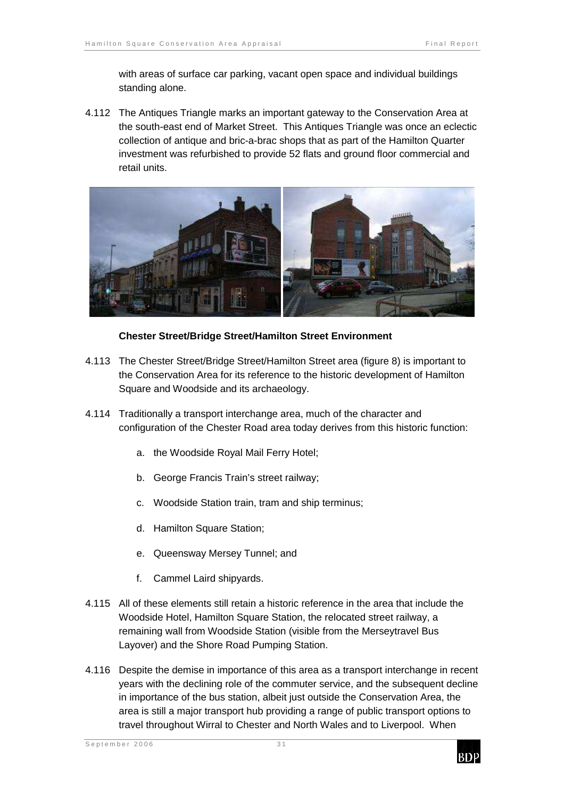with areas of surface car parking, vacant open space and individual buildings standing alone.

4.112 The Antiques Triangle marks an important gateway to the Conservation Area at the south-east end of Market Street. This Antiques Triangle was once an eclectic collection of antique and bric-a-brac shops that as part of the Hamilton Quarter investment was refurbished to provide 52 flats and ground floor commercial and retail units.



#### **Chester Street/Bridge Street/Hamilton Street Environment**

- 4.113 The Chester Street/Bridge Street/Hamilton Street area (figure 8) is important to the Conservation Area for its reference to the historic development of Hamilton Square and Woodside and its archaeology.
- 4.114 Traditionally a transport interchange area, much of the character and configuration of the Chester Road area today derives from this historic function:
	- a. the Woodside Royal Mail Ferry Hotel;
	- b. George Francis Train's street railway;
	- c. Woodside Station train, tram and ship terminus;
	- d. Hamilton Square Station:
	- e. Queensway Mersey Tunnel; and
	- f. Cammel Laird shipyards.
- 4.115 All of these elements still retain a historic reference in the area that include the Woodside Hotel, Hamilton Square Station, the relocated street railway, a remaining wall from Woodside Station (visible from the Merseytravel Bus Layover) and the Shore Road Pumping Station.
- 4.116 Despite the demise in importance of this area as a transport interchange in recent years with the declining role of the commuter service, and the subsequent decline in importance of the bus station, albeit just outside the Conservation Area, the area is still a major transport hub providing a range of public transport options to travel throughout Wirral to Chester and North Wales and to Liverpool. When

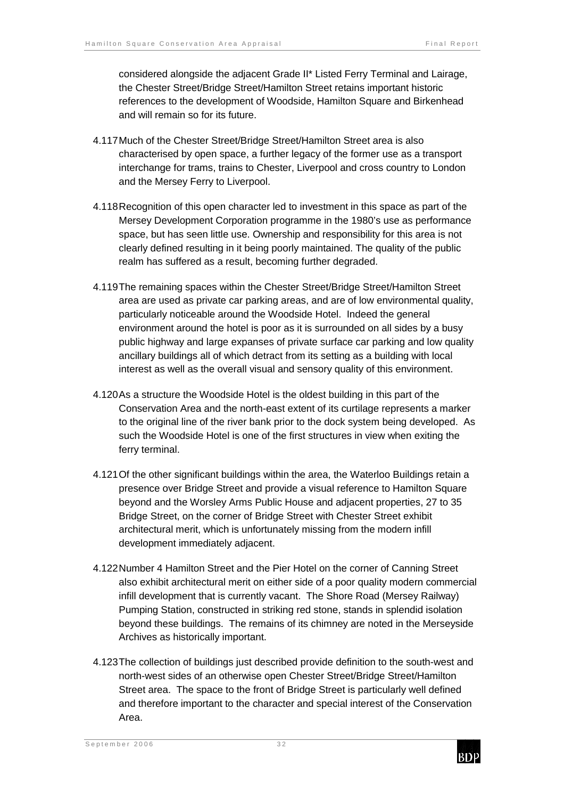considered alongside the adjacent Grade II\* Listed Ferry Terminal and Lairage, the Chester Street/Bridge Street/Hamilton Street retains important historic references to the development of Woodside, Hamilton Square and Birkenhead and will remain so for its future.

- 4.117 Much of the Chester Street/Bridge Street/Hamilton Street area is also characterised by open space, a further legacy of the former use as a transport interchange for trams, trains to Chester, Liverpool and cross country to London and the Mersey Ferry to Liverpool.
- 4.118 Recognition of this open character led to investment in this space as part of the Mersey Development Corporation programme in the 1980's use as performance space, but has seen little use. Ownership and responsibility for this area is not clearly defined resulting in it being poorly maintained. The quality of the public realm has suffered as a result, becoming further degraded.
- 4.119 The remaining spaces within the Chester Street/Bridge Street/Hamilton Street area are used as private car parking areas, and are of low environmental quality, particularly noticeable around the Woodside Hotel. Indeed the general environment around the hotel is poor as it is surrounded on all sides by a busy public highway and large expanses of private surface car parking and low quality ancillary buildings all of which detract from its setting as a building with local interest as well as the overall visual and sensory quality of this environment.
- 4.120 As a structure the Woodside Hotel is the oldest building in this part of the Conservation Area and the north-east extent of its curtilage represents a marker to the original line of the river bank prior to the dock system being developed. As such the Woodside Hotel is one of the first structures in view when exiting the ferry terminal.
- 4.121 Of the other significant buildings within the area, the Waterloo Buildings retain a presence over Bridge Street and provide a visual reference to Hamilton Square beyond and the Worsley Arms Public House and adjacent properties, 27 to 35 Bridge Street, on the corner of Bridge Street with Chester Street exhibit architectural merit, which is unfortunately missing from the modern infill development immediately adjacent.
- 4.122 Number 4 Hamilton Street and the Pier Hotel on the corner of Canning Street also exhibit architectural merit on either side of a poor quality modern commercial infill development that is currently vacant. The Shore Road (Mersey Railway) Pumping Station, constructed in striking red stone, stands in splendid isolation beyond these buildings. The remains of its chimney are noted in the Merseyside Archives as historically important.
- 4.123 The collection of buildings just described provide definition to the south-west and north-west sides of an otherwise open Chester Street/Bridge Street/Hamilton Street area. The space to the front of Bridge Street is particularly well defined and therefore important to the character and special interest of the Conservation Area.

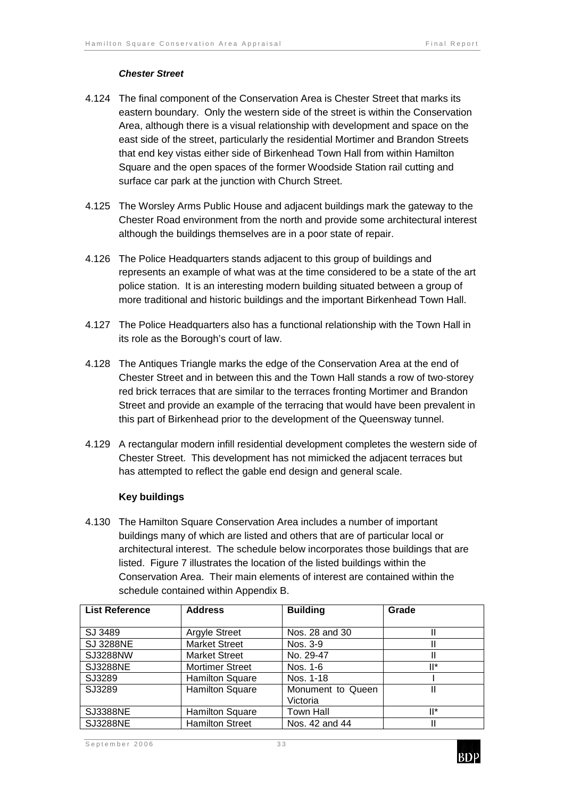#### **Chester Street**

- 4.124 The final component of the Conservation Area is Chester Street that marks its eastern boundary. Only the western side of the street is within the Conservation Area, although there is a visual relationship with development and space on the east side of the street, particularly the residential Mortimer and Brandon Streets that end key vistas either side of Birkenhead Town Hall from within Hamilton Square and the open spaces of the former Woodside Station rail cutting and surface car park at the junction with Church Street.
- 4.125 The Worsley Arms Public House and adjacent buildings mark the gateway to the Chester Road environment from the north and provide some architectural interest although the buildings themselves are in a poor state of repair.
- 4.126 The Police Headquarters stands adjacent to this group of buildings and represents an example of what was at the time considered to be a state of the art police station. It is an interesting modern building situated between a group of more traditional and historic buildings and the important Birkenhead Town Hall.
- 4.127 The Police Headquarters also has a functional relationship with the Town Hall in its role as the Borough's court of law.
- 4.128 The Antiques Triangle marks the edge of the Conservation Area at the end of Chester Street and in between this and the Town Hall stands a row of two-storey red brick terraces that are similar to the terraces fronting Mortimer and Brandon Street and provide an example of the terracing that would have been prevalent in this part of Birkenhead prior to the development of the Queensway tunnel.
- 4.129 A rectangular modern infill residential development completes the western side of Chester Street. This development has not mimicked the adjacent terraces but has attempted to reflect the gable end design and general scale.

### **Key buildings**

4.130 The Hamilton Square Conservation Area includes a number of important buildings many of which are listed and others that are of particular local or architectural interest. The schedule below incorporates those buildings that are listed. Figure 7 illustrates the location of the listed buildings within the Conservation Area. Their main elements of interest are contained within the schedule contained within Appendix B.

| <b>List Reference</b> | <b>Address</b>         | <b>Building</b>   | Grade  |
|-----------------------|------------------------|-------------------|--------|
|                       |                        |                   |        |
| SJ 3489               | <b>Argyle Street</b>   | Nos. 28 and 30    |        |
| <b>SJ 3288NE</b>      | <b>Market Street</b>   | Nos. 3-9          |        |
| <b>SJ3288NW</b>       | <b>Market Street</b>   | No. 29-47         |        |
| <b>SJ3288NE</b>       | <b>Mortimer Street</b> | Nos. 1-6          | ll*    |
| SJ3289                | <b>Hamilton Square</b> | Nos. 1-18         |        |
| SJ3289                | <b>Hamilton Square</b> | Monument to Queen |        |
|                       |                        | Victoria          |        |
| <b>SJ3388NE</b>       | <b>Hamilton Square</b> | Town Hall         | $II^*$ |
| <b>SJ3288NE</b>       | <b>Hamilton Street</b> | Nos. 42 and 44    |        |

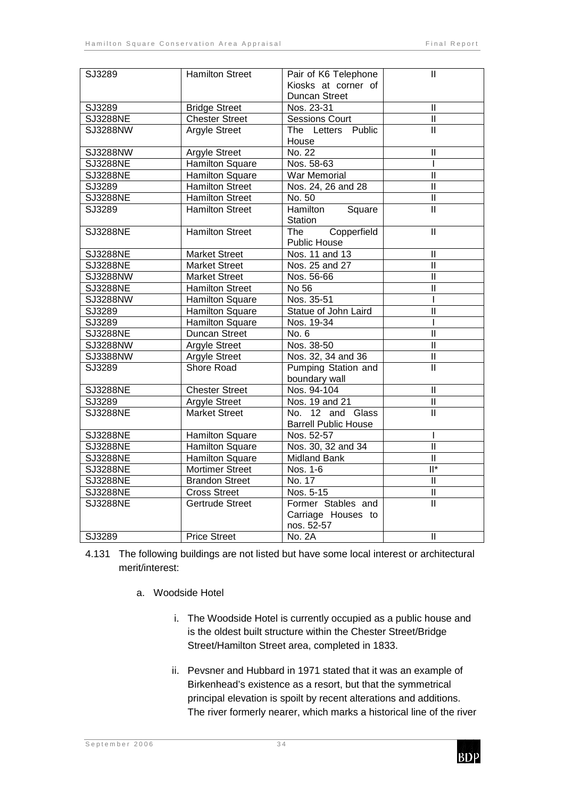| SJ3289          | <b>Hamilton Street</b> | Pair of K6 Telephone                 | $\mathbf{H}$              |
|-----------------|------------------------|--------------------------------------|---------------------------|
|                 |                        | Kiosks at corner of                  |                           |
|                 |                        | Duncan Street                        |                           |
| SJ3289          | <b>Bridge Street</b>   | Nos. 23-31                           | $\overline{\mathbb{I}}$   |
| <b>SJ3288NE</b> | <b>Chester Street</b>  | <b>Sessions Court</b>                | Ш                         |
| <b>SJ3288NW</b> | <b>Argyle Street</b>   | The Letters Public                   | $\overline{\mathsf{I}}$   |
|                 |                        | House                                |                           |
| <b>SJ3288NW</b> | <b>Argyle Street</b>   | No. 22                               | $\mathsf{II}$             |
| <b>SJ3288NE</b> | <b>Hamilton Square</b> | Nos. 58-63                           |                           |
| <b>SJ3288NE</b> | Hamilton Square        | <b>War Memorial</b>                  | $\overline{\mathsf{I}}$   |
| SJ3289          | <b>Hamilton Street</b> | Nos. 24, 26 and 28                   | π                         |
| <b>SJ3288NE</b> | <b>Hamilton Street</b> | No. 50                               | $\mathbf{I}$              |
| SJ3289          | <b>Hamilton Street</b> | Hamilton Square<br>Station           | $\overline{\mathsf{I}}$   |
| <b>SJ3288NE</b> | <b>Hamilton Street</b> | Copperfield<br>The<br>Public House   | $\mathbf{I}$              |
| <b>SJ3288NE</b> | <b>Market Street</b>   | Nos. 11 and 13                       | $\mathbf{I}$              |
| <b>SJ3288NE</b> | <b>Market Street</b>   | Nos. 25 and 27                       | Ш                         |
| SJ3288NW        | <b>Market Street</b>   | Nos. 56-66                           | $\mathbf{II}$             |
| <b>SJ3288NE</b> | <b>Hamilton Street</b> | No 56                                | $\mathsf{II}$             |
| <b>SJ3288NW</b> | <b>Hamilton Square</b> | Nos. 35-51                           |                           |
| SJ3289          | <b>Hamilton Square</b> | Statue of John Laird                 | $\mathbf{I}$              |
| SJ3289          | <b>Hamilton Square</b> | Nos. 19-34                           |                           |
| <b>SJ3288NE</b> | <b>Duncan Street</b>   | No. 6                                | $\overline{\mathsf{I}}$   |
| SJ3288NW        | <b>Argyle Street</b>   | Nos. 38-50                           | $\overline{\mathsf{I}}$   |
| SJ3388NW        | Argyle Street          | Nos. 32, 34 and 36                   | $\mathbf{II}$             |
| SJ3289          | Shore Road             | Pumping Station and<br>boundary wall | $\overline{\mathsf{I}}$   |
| <b>SJ3288NE</b> | <b>Chester Street</b>  | Nos. 94-104                          | $\mathbf{I}$              |
| SJ3289          | Argyle Street          | Nos. 19 and 21                       | $\mathbf{I}$              |
| <b>SJ3288NE</b> | <b>Market Street</b>   | No. 12 and Glass                     | π                         |
|                 |                        | <b>Barrell Public House</b>          |                           |
| <b>SJ3288NE</b> | <b>Hamilton Square</b> | Nos. 52-57                           | I                         |
| <b>SJ3288NE</b> | <b>Hamilton Square</b> | Nos. 30, 32 and 34                   | $\overline{\mathsf{I}}$   |
| <b>SJ3288NE</b> | <b>Hamilton Square</b> | <b>Midland Bank</b>                  | $\overline{\mathsf{I}}$   |
| <b>SJ3288NE</b> | <b>Mortimer Street</b> | Nos. 1-6                             | $\overline{\mathbb{H}^*}$ |
| <b>SJ3288NE</b> | <b>Brandon Street</b>  | No. 17                               | $\mathbf{I}$              |
| <b>SJ3288NE</b> | <b>Cross Street</b>    | Nos. 5-15                            | π                         |
| <b>SJ3288NE</b> | <b>Gertrude Street</b> | Former Stables and                   | П                         |
|                 |                        | Carriage Houses to                   |                           |
|                 |                        | nos. 52-57                           |                           |
| SJ3289          | <b>Price Street</b>    | <b>No. 2A</b>                        | $\mathbf{H}$              |

- 4.131 The following buildings are not listed but have some local interest or architectural merit/interest:
	- a. Woodside Hotel
		- i. The Woodside Hotel is currently occupied as a public house and is the oldest built structure within the Chester Street/Bridge Street/Hamilton Street area, completed in 1833.
		- ii. Pevsner and Hubbard in 1971 stated that it was an example of Birkenhead's existence as a resort, but that the symmetrical principal elevation is spoilt by recent alterations and additions. The river formerly nearer, which marks a historical line of the river

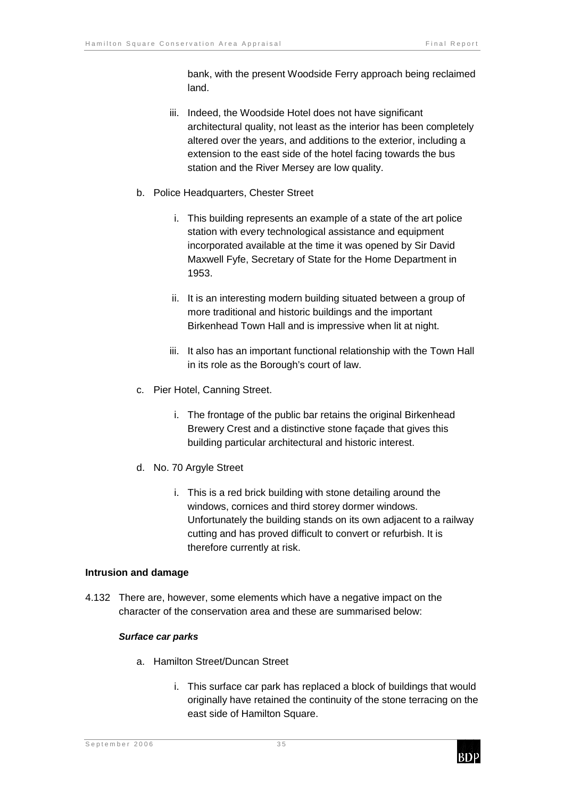bank, with the present Woodside Ferry approach being reclaimed land.

- iii. Indeed, the Woodside Hotel does not have significant architectural quality, not least as the interior has been completely altered over the years, and additions to the exterior, including a extension to the east side of the hotel facing towards the bus station and the River Mersey are low quality.
- b. Police Headquarters, Chester Street
	- i. This building represents an example of a state of the art police station with every technological assistance and equipment incorporated available at the time it was opened by Sir David Maxwell Fyfe, Secretary of State for the Home Department in 1953.
	- ii. It is an interesting modern building situated between a group of more traditional and historic buildings and the important Birkenhead Town Hall and is impressive when lit at night.
	- iii. It also has an important functional relationship with the Town Hall in its role as the Borough's court of law.
- c. Pier Hotel, Canning Street.
	- i. The frontage of the public bar retains the original Birkenhead Brewery Crest and a distinctive stone façade that gives this building particular architectural and historic interest.
- d. No. 70 Argyle Street
	- i. This is a red brick building with stone detailing around the windows, cornices and third storey dormer windows. Unfortunately the building stands on its own adjacent to a railway cutting and has proved difficult to convert or refurbish. It is therefore currently at risk.

#### **Intrusion and damage**

4.132 There are, however, some elements which have a negative impact on the character of the conservation area and these are summarised below:

#### **Surface car parks**

- a. Hamilton Street/Duncan Street
	- i. This surface car park has replaced a block of buildings that would originally have retained the continuity of the stone terracing on the east side of Hamilton Square.

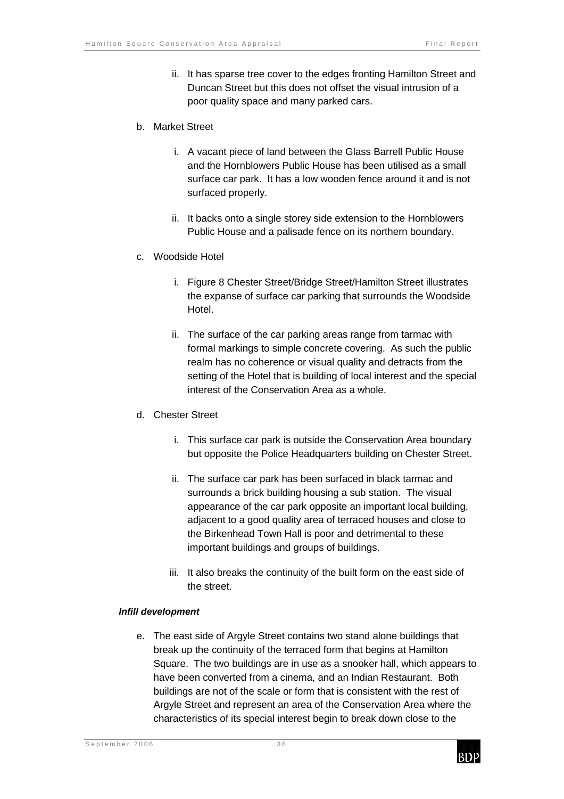ii. It has sparse tree cover to the edges fronting Hamilton Street and Duncan Street but this does not offset the visual intrusion of a poor quality space and many parked cars.

#### b. Market Street

- i. A vacant piece of land between the Glass Barrell Public House and the Hornblowers Public House has been utilised as a small surface car park. It has a low wooden fence around it and is not surfaced properly.
- ii. It backs onto a single storey side extension to the Hornblowers Public House and a palisade fence on its northern boundary.
- c. Woodside Hotel
	- i. Figure 8 Chester Street/Bridge Street/Hamilton Street illustrates the expanse of surface car parking that surrounds the Woodside Hotel.
	- ii. The surface of the car parking areas range from tarmac with formal markings to simple concrete covering. As such the public realm has no coherence or visual quality and detracts from the setting of the Hotel that is building of local interest and the special interest of the Conservation Area as a whole.

### d. Chester Street

- i. This surface car park is outside the Conservation Area boundary but opposite the Police Headquarters building on Chester Street.
- ii. The surface car park has been surfaced in black tarmac and surrounds a brick building housing a sub station. The visual appearance of the car park opposite an important local building, adjacent to a good quality area of terraced houses and close to the Birkenhead Town Hall is poor and detrimental to these important buildings and groups of buildings.
- iii. It also breaks the continuity of the built form on the east side of the street.

#### **Infill development**

e. The east side of Argyle Street contains two stand alone buildings that break up the continuity of the terraced form that begins at Hamilton Square. The two buildings are in use as a snooker hall, which appears to have been converted from a cinema, and an Indian Restaurant. Both buildings are not of the scale or form that is consistent with the rest of Argyle Street and represent an area of the Conservation Area where the characteristics of its special interest begin to break down close to the

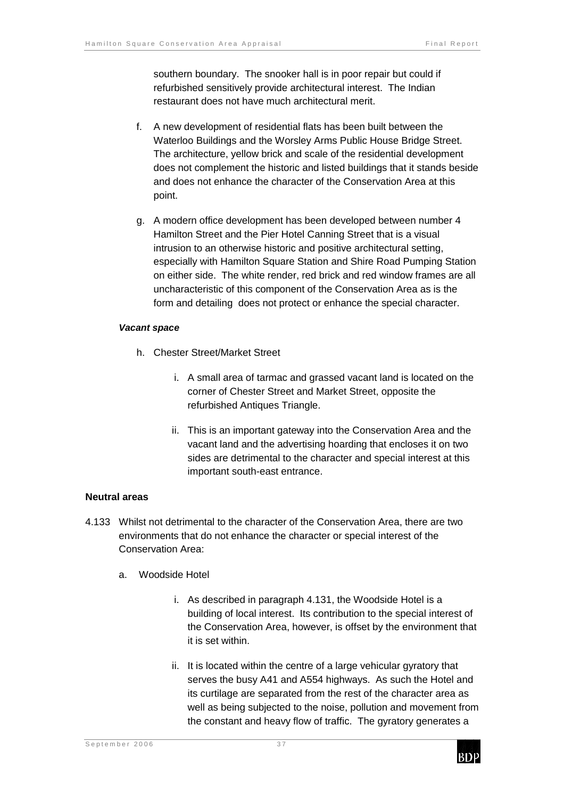southern boundary. The snooker hall is in poor repair but could if refurbished sensitively provide architectural interest. The Indian restaurant does not have much architectural merit.

- f. A new development of residential flats has been built between the Waterloo Buildings and the Worsley Arms Public House Bridge Street. The architecture, yellow brick and scale of the residential development does not complement the historic and listed buildings that it stands beside and does not enhance the character of the Conservation Area at this point.
- g. A modern office development has been developed between number 4 Hamilton Street and the Pier Hotel Canning Street that is a visual intrusion to an otherwise historic and positive architectural setting, especially with Hamilton Square Station and Shire Road Pumping Station on either side. The white render, red brick and red window frames are all uncharacteristic of this component of the Conservation Area as is the form and detailing does not protect or enhance the special character.

#### **Vacant space**

- h. Chester Street/Market Street
	- i. A small area of tarmac and grassed vacant land is located on the corner of Chester Street and Market Street, opposite the refurbished Antiques Triangle.
	- ii. This is an important gateway into the Conservation Area and the vacant land and the advertising hoarding that encloses it on two sides are detrimental to the character and special interest at this important south-east entrance.

### **Neutral areas**

- 4.133 Whilst not detrimental to the character of the Conservation Area, there are two environments that do not enhance the character or special interest of the Conservation Area:
	- a. Woodside Hotel
		- i. As described in paragraph 4.131, the Woodside Hotel is a building of local interest. Its contribution to the special interest of the Conservation Area, however, is offset by the environment that it is set within.
		- ii. It is located within the centre of a large vehicular gyratory that serves the busy A41 and A554 highways. As such the Hotel and its curtilage are separated from the rest of the character area as well as being subjected to the noise, pollution and movement from the constant and heavy flow of traffic. The gyratory generates a

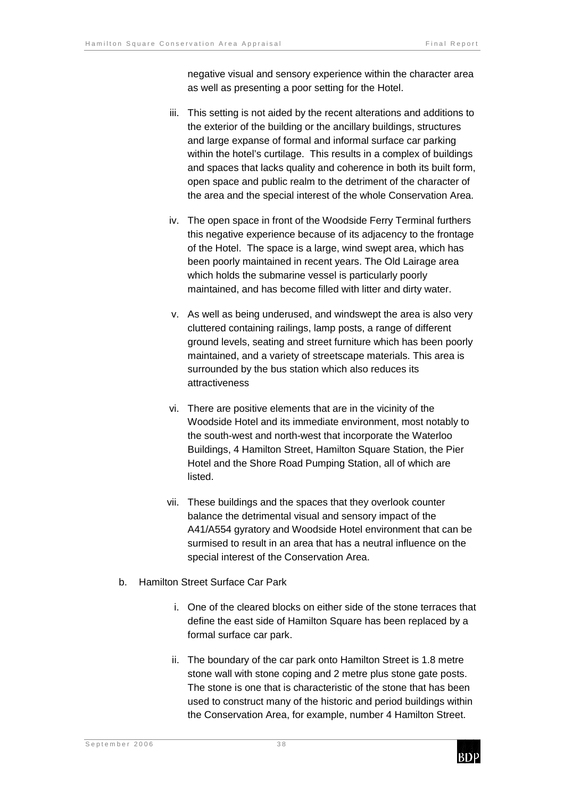negative visual and sensory experience within the character area as well as presenting a poor setting for the Hotel.

- iii. This setting is not aided by the recent alterations and additions to the exterior of the building or the ancillary buildings, structures and large expanse of formal and informal surface car parking within the hotel's curtilage. This results in a complex of buildings and spaces that lacks quality and coherence in both its built form, open space and public realm to the detriment of the character of the area and the special interest of the whole Conservation Area.
- iv. The open space in front of the Woodside Ferry Terminal furthers this negative experience because of its adjacency to the frontage of the Hotel. The space is a large, wind swept area, which has been poorly maintained in recent years. The Old Lairage area which holds the submarine vessel is particularly poorly maintained, and has become filled with litter and dirty water.
- v. As well as being underused, and windswept the area is also very cluttered containing railings, lamp posts, a range of different ground levels, seating and street furniture which has been poorly maintained, and a variety of streetscape materials. This area is surrounded by the bus station which also reduces its attractiveness
- vi. There are positive elements that are in the vicinity of the Woodside Hotel and its immediate environment, most notably to the south-west and north-west that incorporate the Waterloo Buildings, 4 Hamilton Street, Hamilton Square Station, the Pier Hotel and the Shore Road Pumping Station, all of which are listed.
- vii. These buildings and the spaces that they overlook counter balance the detrimental visual and sensory impact of the A41/A554 gyratory and Woodside Hotel environment that can be surmised to result in an area that has a neutral influence on the special interest of the Conservation Area.
- b. Hamilton Street Surface Car Park
	- i. One of the cleared blocks on either side of the stone terraces that define the east side of Hamilton Square has been replaced by a formal surface car park.
	- ii. The boundary of the car park onto Hamilton Street is 1.8 metre stone wall with stone coping and 2 metre plus stone gate posts. The stone is one that is characteristic of the stone that has been used to construct many of the historic and period buildings within the Conservation Area, for example, number 4 Hamilton Street.

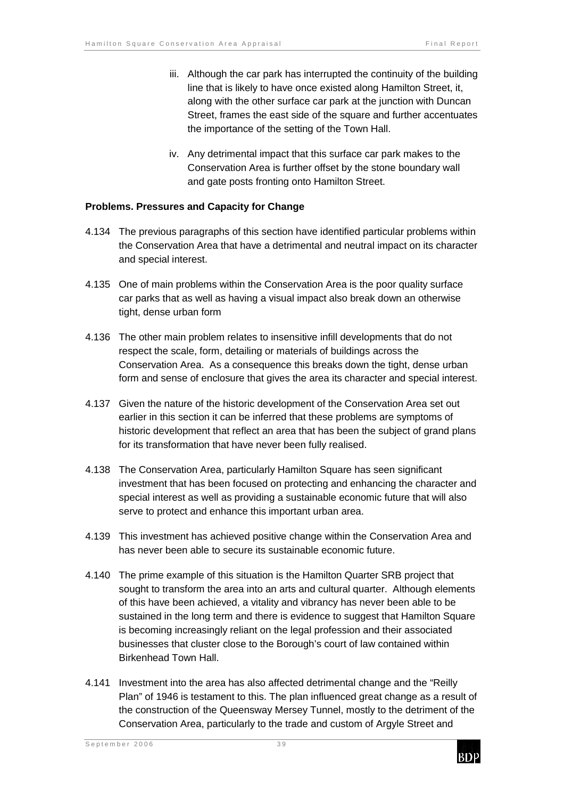- iii. Although the car park has interrupted the continuity of the building line that is likely to have once existed along Hamilton Street, it, along with the other surface car park at the junction with Duncan Street, frames the east side of the square and further accentuates the importance of the setting of the Town Hall.
- iv. Any detrimental impact that this surface car park makes to the Conservation Area is further offset by the stone boundary wall and gate posts fronting onto Hamilton Street.

#### **Problems. Pressures and Capacity for Change**

- 4.134 The previous paragraphs of this section have identified particular problems within the Conservation Area that have a detrimental and neutral impact on its character and special interest.
- 4.135 One of main problems within the Conservation Area is the poor quality surface car parks that as well as having a visual impact also break down an otherwise tight, dense urban form
- 4.136 The other main problem relates to insensitive infill developments that do not respect the scale, form, detailing or materials of buildings across the Conservation Area. As a consequence this breaks down the tight, dense urban form and sense of enclosure that gives the area its character and special interest.
- 4.137 Given the nature of the historic development of the Conservation Area set out earlier in this section it can be inferred that these problems are symptoms of historic development that reflect an area that has been the subject of grand plans for its transformation that have never been fully realised.
- 4.138 The Conservation Area, particularly Hamilton Square has seen significant investment that has been focused on protecting and enhancing the character and special interest as well as providing a sustainable economic future that will also serve to protect and enhance this important urban area.
- 4.139 This investment has achieved positive change within the Conservation Area and has never been able to secure its sustainable economic future.
- 4.140 The prime example of this situation is the Hamilton Quarter SRB project that sought to transform the area into an arts and cultural quarter. Although elements of this have been achieved, a vitality and vibrancy has never been able to be sustained in the long term and there is evidence to suggest that Hamilton Square is becoming increasingly reliant on the legal profession and their associated businesses that cluster close to the Borough's court of law contained within Birkenhead Town Hall.
- 4.141 Investment into the area has also affected detrimental change and the "Reilly Plan" of 1946 is testament to this. The plan influenced great change as a result of the construction of the Queensway Mersey Tunnel, mostly to the detriment of the Conservation Area, particularly to the trade and custom of Argyle Street and

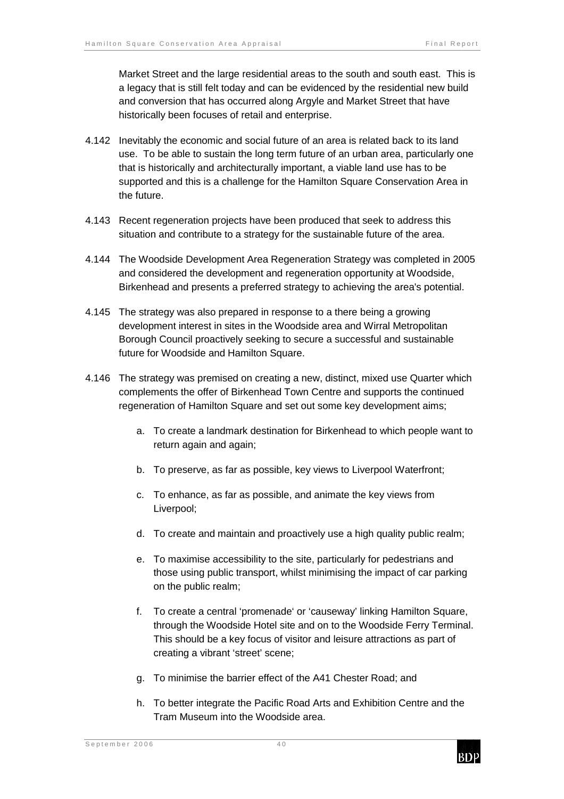Market Street and the large residential areas to the south and south east. This is a legacy that is still felt today and can be evidenced by the residential new build and conversion that has occurred along Argyle and Market Street that have historically been focuses of retail and enterprise.

- 4.142 Inevitably the economic and social future of an area is related back to its land use. To be able to sustain the long term future of an urban area, particularly one that is historically and architecturally important, a viable land use has to be supported and this is a challenge for the Hamilton Square Conservation Area in the future.
- 4.143 Recent regeneration projects have been produced that seek to address this situation and contribute to a strategy for the sustainable future of the area.
- 4.144 The Woodside Development Area Regeneration Strategy was completed in 2005 and considered the development and regeneration opportunity at Woodside, Birkenhead and presents a preferred strategy to achieving the area's potential.
- 4.145 The strategy was also prepared in response to a there being a growing development interest in sites in the Woodside area and Wirral Metropolitan Borough Council proactively seeking to secure a successful and sustainable future for Woodside and Hamilton Square.
- 4.146 The strategy was premised on creating a new, distinct, mixed use Quarter which complements the offer of Birkenhead Town Centre and supports the continued regeneration of Hamilton Square and set out some key development aims;
	- a. To create a landmark destination for Birkenhead to which people want to return again and again;
	- b. To preserve, as far as possible, key views to Liverpool Waterfront;
	- c. To enhance, as far as possible, and animate the key views from Liverpool;
	- d. To create and maintain and proactively use a high quality public realm;
	- e. To maximise accessibility to the site, particularly for pedestrians and those using public transport, whilst minimising the impact of car parking on the public realm;
	- f. To create a central 'promenade' or 'causeway' linking Hamilton Square, through the Woodside Hotel site and on to the Woodside Ferry Terminal. This should be a key focus of visitor and leisure attractions as part of creating a vibrant 'street' scene;
	- g. To minimise the barrier effect of the A41 Chester Road; and
	- h. To better integrate the Pacific Road Arts and Exhibition Centre and the Tram Museum into the Woodside area.

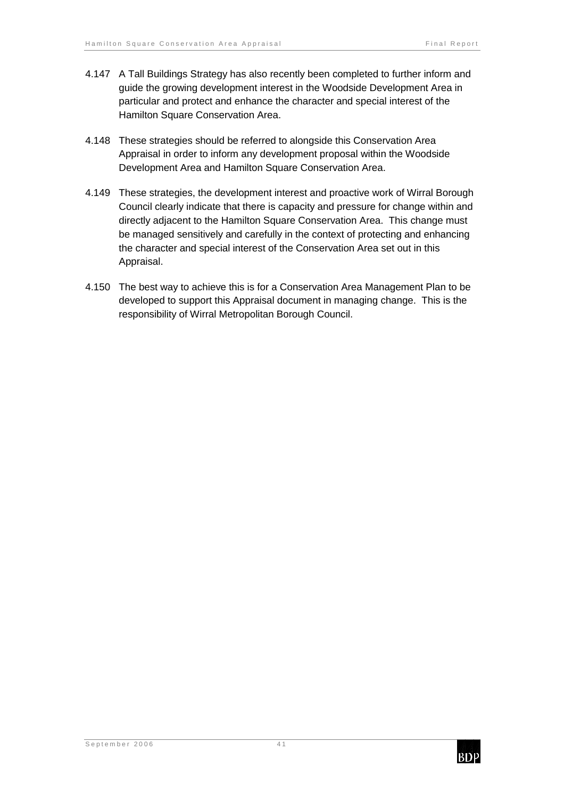- 4.147 A Tall Buildings Strategy has also recently been completed to further inform and guide the growing development interest in the Woodside Development Area in particular and protect and enhance the character and special interest of the Hamilton Square Conservation Area.
- 4.148 These strategies should be referred to alongside this Conservation Area Appraisal in order to inform any development proposal within the Woodside Development Area and Hamilton Square Conservation Area.
- 4.149 These strategies, the development interest and proactive work of Wirral Borough Council clearly indicate that there is capacity and pressure for change within and directly adjacent to the Hamilton Square Conservation Area. This change must be managed sensitively and carefully in the context of protecting and enhancing the character and special interest of the Conservation Area set out in this Appraisal.
- 4.150 The best way to achieve this is for a Conservation Area Management Plan to be developed to support this Appraisal document in managing change. This is the responsibility of Wirral Metropolitan Borough Council.

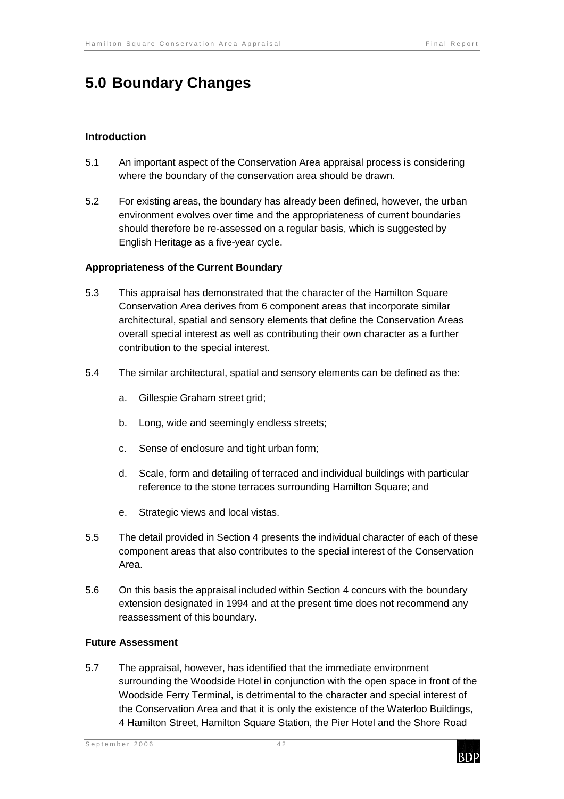# **5.0 Boundary Changes**

### **Introduction**

- 5.1 An important aspect of the Conservation Area appraisal process is considering where the boundary of the conservation area should be drawn.
- 5.2 For existing areas, the boundary has already been defined, however, the urban environment evolves over time and the appropriateness of current boundaries should therefore be re-assessed on a regular basis, which is suggested by English Heritage as a five-year cycle.

#### **Appropriateness of the Current Boundary**

- 5.3 This appraisal has demonstrated that the character of the Hamilton Square Conservation Area derives from 6 component areas that incorporate similar architectural, spatial and sensory elements that define the Conservation Areas overall special interest as well as contributing their own character as a further contribution to the special interest.
- 5.4 The similar architectural, spatial and sensory elements can be defined as the:
	- a. Gillespie Graham street grid;
	- b. Long, wide and seemingly endless streets;
	- c. Sense of enclosure and tight urban form;
	- d. Scale, form and detailing of terraced and individual buildings with particular reference to the stone terraces surrounding Hamilton Square; and
	- e. Strategic views and local vistas.
- 5.5 The detail provided in Section 4 presents the individual character of each of these component areas that also contributes to the special interest of the Conservation Area.
- 5.6 On this basis the appraisal included within Section 4 concurs with the boundary extension designated in 1994 and at the present time does not recommend any reassessment of this boundary.

#### **Future Assessment**

5.7 The appraisal, however, has identified that the immediate environment surrounding the Woodside Hotel in conjunction with the open space in front of the Woodside Ferry Terminal, is detrimental to the character and special interest of the Conservation Area and that it is only the existence of the Waterloo Buildings, 4 Hamilton Street, Hamilton Square Station, the Pier Hotel and the Shore Road

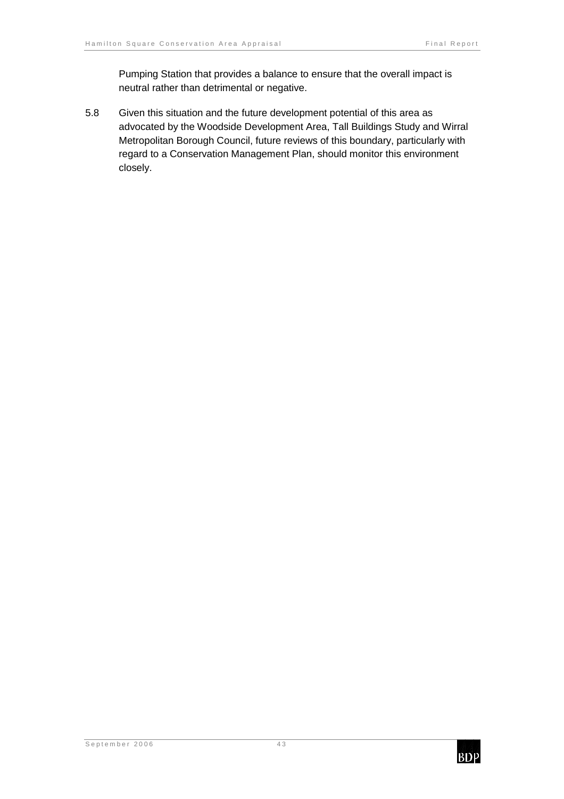Pumping Station that provides a balance to ensure that the overall impact is neutral rather than detrimental or negative.

5.8 Given this situation and the future development potential of this area as advocated by the Woodside Development Area, Tall Buildings Study and Wirral Metropolitan Borough Council, future reviews of this boundary, particularly with regard to a Conservation Management Plan, should monitor this environment closely.

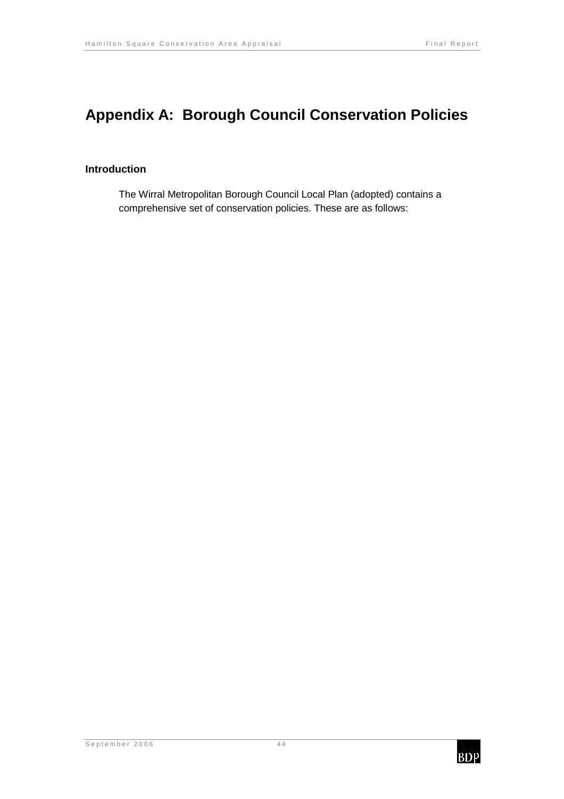# **Appendix A: Borough Council Conservation Policies**

### **Introduction**

The Wirral Metropolitan Borough Council Local Plan (adopted) contains a comprehensive set of conservation policies. These are as follows:

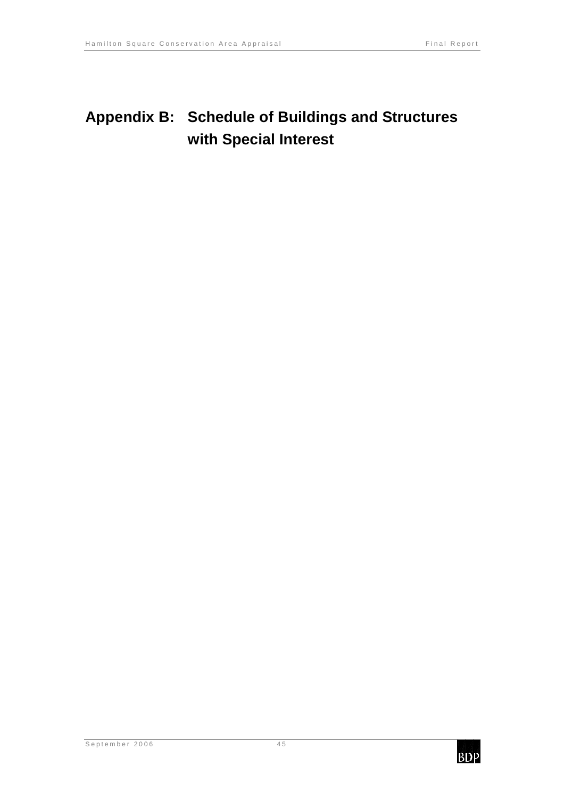# **Appendix B: Schedule of Buildings and Structures with Special Interest**

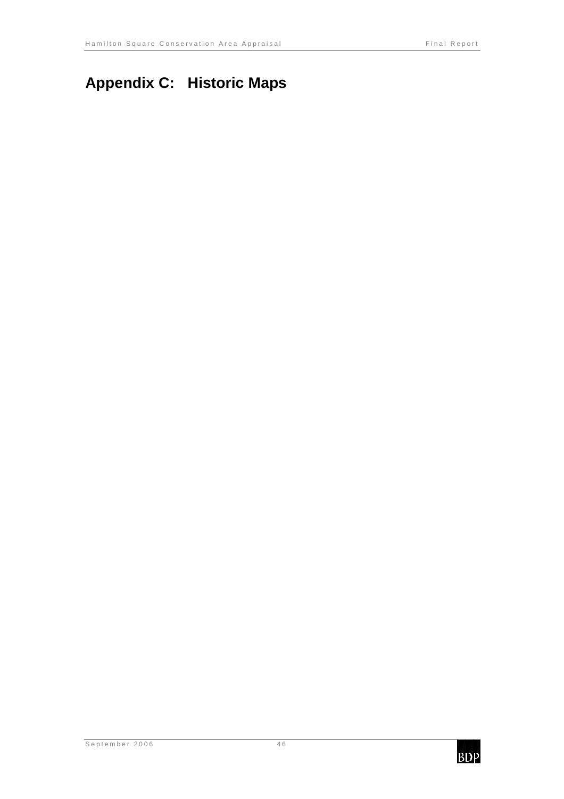# **Appendix C: Historic Maps**

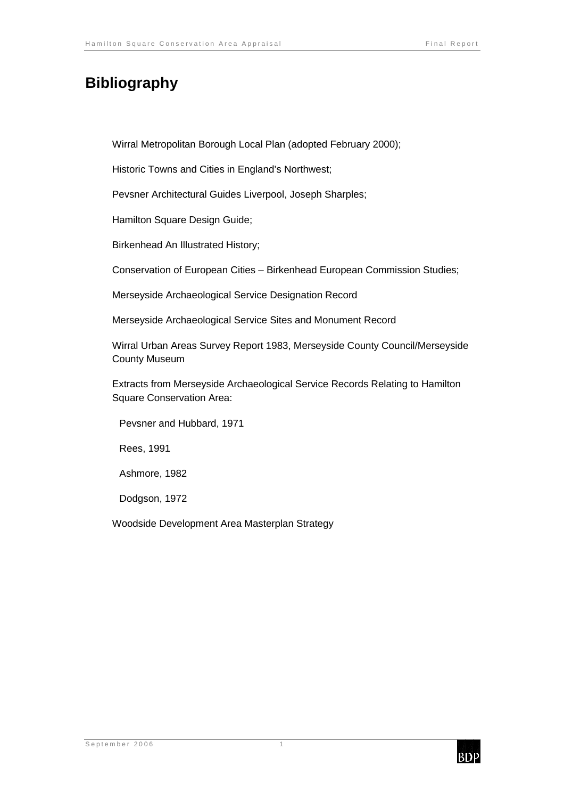# **Bibliography**

Wirral Metropolitan Borough Local Plan (adopted February 2000);

Historic Towns and Cities in England's Northwest;

Pevsner Architectural Guides Liverpool, Joseph Sharples;

Hamilton Square Design Guide;

Birkenhead An Illustrated History;

Conservation of European Cities – Birkenhead European Commission Studies;

Merseyside Archaeological Service Designation Record

Merseyside Archaeological Service Sites and Monument Record

Wirral Urban Areas Survey Report 1983, Merseyside County Council/Merseyside County Museum

Extracts from Merseyside Archaeological Service Records Relating to Hamilton Square Conservation Area:

Pevsner and Hubbard, 1971

Rees, 1991

Ashmore, 1982

Dodgson, 1972

Woodside Development Area Masterplan Strategy